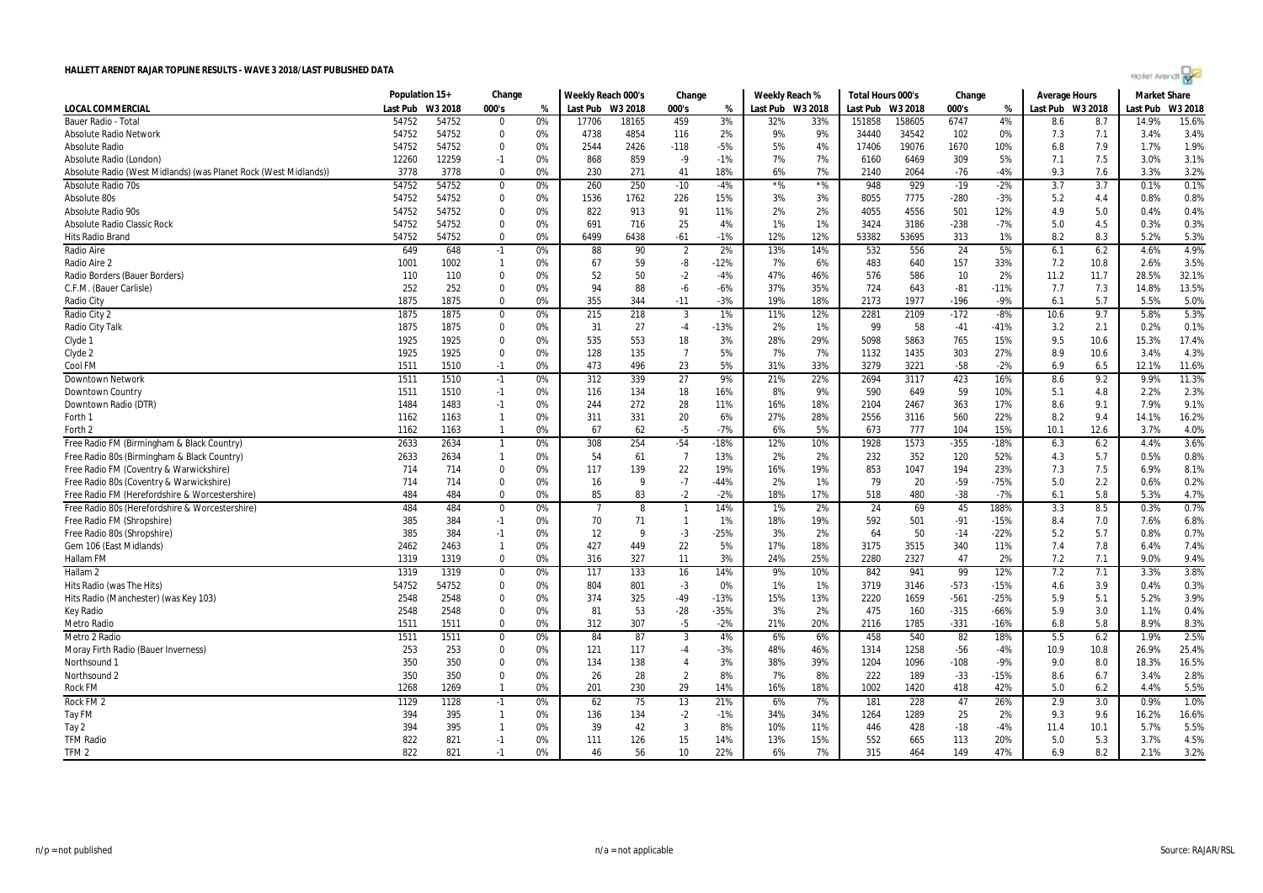| Hollet Arendt |  |  |  |
|---------------|--|--|--|
|               |  |  |  |

|                                                                  | Population 15+ |         | Change               |          | Weekly Reach 000's |              | Change         |              | Weekly Reach %   |           | Total Hours 000's |              | Change |                  | Average Hours    |            | <b>Market Share</b> |              |
|------------------------------------------------------------------|----------------|---------|----------------------|----------|--------------------|--------------|----------------|--------------|------------------|-----------|-------------------|--------------|--------|------------------|------------------|------------|---------------------|--------------|
| <b>LOCAL COMMERCIAL</b>                                          | Last Pub       | W3 2018 | 000's                | %        | Last Pub W3 2018   |              | 000's          | %            | Last Pub W3 2018 |           | Last Pub          | W3 2018      | 000's  | %                | Last Pub W3 2018 |            | Last Pub            | W3 2018      |
| Bauer Radio - Tota                                               | 54752          | 54752   | $\Omega$             | 0%       | 17706              | 18165        | 459            | 3%           | 32%              | 33%       | 151858            | 158605       | 6747   | 4%               | 8.6              | 8.7        | 14.9%               | 15.6%        |
| <b>Absolute Radio Network</b>                                    | 54752          | 54752   | 0                    | 0%       | 4738               | 4854         | 116            | 2%           | 9%               | 9%        | 34440             | 34542        | 102    | 0%               | 7.3              | 7.1        | 3.4%                | 3.4%         |
| <b>Absolute Radio</b>                                            | 54752          | 54752   | 0                    | 0%       | 2544               | 2426         | $-118$         | $-5%$        | 5%               | 4%        | 17406             | 19076        | 1670   | 10%              | 6.8              | 7.9        | 1.7%                | 1.9%         |
| Absolute Radio (London)                                          | 12260          | 12259   | $-1$                 | 0%       | 868                | 859          | $-9$           | $-1%$        | 7%               | 7%        | 6160              | 6469         | 309    | 5%               | 7.1              | 7.5        | 3.0%                | 3.1%         |
| Absolute Radio (West Midlands) (was Planet Rock (West Midlands)) | 3778           | 3778    | $\Omega$             | 0%       | 230                | 271          | 41             | 18%          | 6%               | 7%        | 2140              | 2064         | $-76$  | $-4%$            | 9.3              | 7.6        | 3.3%                | 3.2%         |
| <b>Absolute Radio 70s</b>                                        | 54752          | 54752   | $\mathbf 0$          | 0%       | 260                | 250          | $-10$          | $-4%$        | $*$ %            | $*$ %     | 948               | 929          | $-19$  | $-2%$            | 3.7              | 3.7        | 0.1%                | 0.1%         |
| Absolute 80s                                                     | 54752          | 54752   | $\mathbf 0$          | 0%       | 1536               | 1762         | 226            | 15%          | 3%               | 3%        | 8055              | 7775         | $-280$ | $-3%$            | 5.2              | 4.4        | 0.8%                | 0.8%         |
| <b>Absolute Radio 90s</b>                                        | 54752          | 54752   | $\mathbf 0$          | 0%       | 822                | 913          | 91             | 11%          | 2%               | 2%        | 4055              | 4556         | 501    | 12%              | 4.9              | 5.0        | 0.4%                | 0.4%         |
| <b>Absolute Radio Classic Rock</b>                               | 54752          | 54752   | $\mathbf 0$          | 0%       | 691                | 716          | 25             | 4%           | 1%               | 1%        | 3424              | 3186         | $-238$ | $-7%$            | 5.0              | 4.5        | 0.3%                | 0.3%         |
| Hits Radio Brand                                                 | 54752          | 54752   | 0                    | 0%       | 6499               | 6438         | -61            | $-1%$        | 12%              | 12%       | 53382             | 53695        | 313    | 1%               | 8.2              | 8.3        | 5.2%                | 5.3%         |
| Radio Aire                                                       | 649            | 648     | $-1$                 | 0%       | 88                 | 90           | $\overline{2}$ | 2%           | 13%              | 14%       | 532               | 556          | 24     | 5%               | 6.1              | 6.2        | 4.6%                | 4.9%         |
| Radio Aire 2                                                     | 1001           | 1002    | $\mathbf{1}$         | 0%       | 67                 | 59           | -8             | $-12%$       | 7%               | 6%        | 483               | 640          | 157    | 33%              | 7.2              | 10.8       | 2.6%                | 3.5%         |
| Radio Borders (Bauer Borders)                                    | 110            | 110     | $\Omega$             | 0%       | 52                 | 50           | $-2$           | $-4%$        | 47%              | 46%       | 576               | 586          | 10     | 2%               | 11.2             | 11.7       | 28.5%               | 32.1%        |
| C.F.M. (Bauer Carlisle)                                          | 252            | 252     | $\mathbf 0$          | 0%       | 94                 | 88           | $-6$           | $-6%$        | 37%              | 35%       | 724               | 643          | $-81$  | $-11%$           | 7.7              | 7.3        | 14.8%               | 13.5%        |
| Radio City                                                       | 1875           | 1875    | $\Omega$             | 0%       | 355                | 344          | $-11$          | $-3%$        | 19%              | 18%       | 2173              | 1977         | $-196$ | $-9%$            | 6.1              | 5.7        | 5.5%                | 5.0%         |
| Radio City 2                                                     | 1875           | 1875    | 0                    | 0%       | 215                | 218          | $\overline{3}$ | 1%           | 11%              | 12%       | 2281              | 2109         | $-172$ | $-8%$            | 10.6             | 9.7        | 5.8%                | 5.3%         |
| Radio City Talk                                                  | 1875           | 1875    | $\mathbf 0$          | 0%       | 31                 | 27           | $-4$           | $-13%$       | 2%               | 1%        | 99                | 58           | $-41$  | $-41%$           | 3.2              | 2.1        | 0.2%                | 0.1%         |
| Clyde 1                                                          | 1925           | 1925    | $\mathbf 0$          | 0%       | 535                | 553          | 18             | 3%           | 28%              | 29%       | 5098              | 5863         | 765    | 15%              | 9.5              | 10.6       | 15.3%               | 17.4%        |
| Clyde 2                                                          | 1925           | 1925    | $\mathbf 0$          | 0%       | 128                | 135          | $\overline{7}$ | 5%           | 7%               | 7%        | 1132              | 1435         | 303    | 27%              | 8.9              | 10.6       | 3.4%                | 4.3%         |
| Cool FM                                                          | 1511           | 1510    | $-1$                 | 0%       | 473                | 496          | 23             | 5%           | 31%              | 33%       | 3279              | 3221         | $-58$  | $-2%$            | 6.9              | 6.5        | 12.1%               | 11.6%        |
| <b>Downtown Network</b>                                          | 1511           | 1510    | $-1$                 | 0%       | 312                | 339          | 27             | 9%           | 21%              | 22%       | 2694              | 3117         | 423    | 16%              | 8.6              | 9.2        | 9.9%                | 11.3%        |
| Downtown Country                                                 | 1511           | 1510    | $-1$                 | 0%       | 116                | 134          | 18             | 16%          | 8%               | 9%        | 590               | 649          | 59     | 10%              | 5.1              | 4.8        | 2.2%                | 2.3%         |
| Downtown Radio (DTR)                                             | 1484           | 1483    | $-1$                 | 0%       | 244                | 272          | 28             | 11%          | 16%              | 18%       | 2104              | 2467         | 363    | 17%              | 8.6              | 9.1        | 7.9%                | 9.1%         |
| Forth 1                                                          | 1162           | 1163    | $\mathbf{1}$         | 0%       | 311                | 331          | 20             | 6%           | 27%              | 28%       | 2556              | 3116         | 560    | 22%              | 8.2              | 9.4        | 14.1%               | 16.2%        |
| Forth 2                                                          | 1162           | 1163    | $\overline{1}$       | 0%       | 67                 | 62           | $-5$           | $-7%$        | 6%               | 5%        | 673               | 777          | 104    | 15%              | 10.1             | 12.6       | 3.7%                | 4.0%         |
| Free Radio FM (Birmingham & Black Country)                       | 2633           | 2634    | $\mathbf{1}$         | 0%       | 308                | 254          | $-54$          | $-18%$       | 12%              | 10%       | 1928              | 1573         | $-355$ | $-18%$           | 6.3              | 6.2        | 4.4%                | 3.6%         |
| Free Radio 80s (Birmingham & Black Country)                      | 2633           | 2634    | $\mathbf{1}$         | 0%       | 54                 | 61           | $\overline{7}$ | 13%          | 2%               | 2%        | 232               | 352          | 120    | 52%              | 4.3              | 5.7        | 0.5%                | 0.8%         |
| Free Radio FM (Coventry & Warwickshire)                          | 714            | 714     | $\mathbf 0$          | 0%       | 117                | 139          | 22             | 19%          | 16%              | 19%       | 853               | 1047         | 194    | 23%              | 7.3              | 7.5        | 6.9%                | 8.1%         |
| Free Radio 80s (Coventry & Warwickshire)                         | 714            | 714     | $\Omega$             | 0%       | 16                 | 9            | $-7$           | $-44%$       | 2%               | 1%        | 79                | 20           | $-59$  | $-75%$           | 5.0              | 2.2        | 0.6%                | 0.2%         |
| Free Radio FM (Herefordshire & Worcestershire)                   | 484            | 484     | $\mathbf 0$          | 0%       | 85                 | 83           | $-2$           | $-2%$        | 18%              | 17%       | 518               | 480          | $-38$  | $-7%$            | 6.1              | 5.8        | 5.3%                | 4.7%         |
| Free Radio 80s (Herefordshire & Worcestershire)                  | 484            | 484     | $\Omega$             | 0%       |                    | -8           | $\mathbf{1}$   | 14%          | 1%               | 2%        | 24                | 69           | 45     | 188%             | 3.3              | 8.5        | 0.3%                | 0.7%         |
|                                                                  | 385            | 384     |                      |          | 70                 | 71           | $\overline{1}$ |              |                  | 19%       | 592               |              |        | $-15%$           | 8.4              |            |                     | 6.8%         |
| Free Radio FM (Shropshire)                                       |                |         | $-1$                 | 0%       |                    | $\mathbf{q}$ |                | 1%           | 18%              |           |                   | 501          | $-91$  |                  |                  | 7.0        | 7.6%                |              |
| Free Radio 80s (Shropshire)                                      | 385            | 384     | $-1$                 | 0%       | 12                 |              | $-3$           | $-25%$       | 3%               | 2%        | 64                | 50           | $-14$  | $-22%$           | 5.2              | 5.7        | 0.8%                | 0.7%         |
| Gem 106 (East Midlands)                                          | 2462           | 2463    | $\mathbf{1}$         | 0%       | 427                | 449          | 22             | 5%           | 17%              | 18%       | 3175              | 3515         | 340    | 11%              | 7.4              | 7.8        | 6.4%                | 7.4%         |
| Hallam FM                                                        | 1319           | 1319    | $\mathbf 0$          | 0%       | 316                | 327          | 11             | 3%           | 24%              | 25%       | 2280              | 2327         | 47     | 2%               | 7.2              | 7.1        | 9.0%                | 9.4%<br>3.8% |
| Hallam <sub>2</sub>                                              | 1319           | 1319    | 0                    | 0%       | 117                | 133          | 16             | 14%          | 9%               | 10%       | 842               | 941          | 99     | 12%              | 7.2              | 7.1        | 3.3%                |              |
| Hits Radio (was The Hits)                                        | 54752          | 54752   | 0<br>$\Omega$        | 0%       | 804<br>374         | 801          | $-3$<br>$-49$  | 0%<br>$-13%$ | 1%<br>15%        | 1%<br>13% | 3719              | 3146<br>1659 | $-573$ | $-15%$<br>$-25%$ | 4.6              | 3.9<br>5.1 | 0.4%<br>5.2%        | 0.3%<br>3.9% |
| Hits Radio (Manchester) (was Key 103)                            | 2548           | 2548    |                      | 0%       |                    | 325          |                |              |                  |           | 2220              |              | $-561$ |                  | 5.9              |            |                     |              |
| <b>Key Radio</b>                                                 | 2548           | 2548    | $\Omega$<br>$\Omega$ | 0%<br>0% | 81                 | 53           | $-28$          | $-35%$       | 3%               | 2%        | 475               | 160          | $-315$ | $-66%$           | 5.9              | 3.0        | 1.1%                | 0.4%         |
| Metro Radio                                                      | 1511           | 1511    |                      |          | 312                | 307          | $-5$           | $-2%$        | 21%              | 20%       | 2116              | 1785         | $-331$ | $-16%$           | 6.8              | 5.8        | 8.9%                | 8.3%         |
| Metro 2 Radio                                                    | 1511           | 1511    | $\mathbf 0$          | 0%       | 84                 | 87           | 3              | 4%           | 6%               | 6%        | 458               | 540          | 82     | 18%              | 5.5              | 6.2        | 1.9%                | 2.5%         |
| Moray Firth Radio (Bauer Inverness)                              | 253            | 253     | $\mathbf 0$          | 0%       | 121                | 117          | $-4$           | $-3%$        | 48%              | 46%       | 1314              | 1258         | $-56$  | $-4%$            | 10.9             | 10.8       | 26.9%               | 25.4%        |
| Northsound 1                                                     | 350            | 350     | $\mathbf 0$          | 0%       | 134                | 138          | $\overline{4}$ | 3%           | 38%              | 39%       | 1204              | 1096         | $-108$ | $-9%$            | 9.0              | 8.0        | 18.3%               | 16.5%        |
| Northsound 2                                                     | 350            | 350     | $\mathbf 0$          | 0%       | 26                 | 28           | $\overline{2}$ | 8%           | 7%               | 8%        | 222               | 189          | $-33$  | $-15%$           | 8.6              | 6.7        | 3.4%                | 2.8%         |
| <b>Rock FM</b>                                                   | 1268           | 1269    | $\overline{1}$       | 0%       | 201                | 230          | 29             | 14%          | 16%              | 18%       | 1002              | 1420         | 418    | 42%              | 5.0              | 6.2        | 4.4%                | 5.5%         |
| Rock FM <sub>2</sub>                                             | 1129           | 1128    | $-1$                 | 0%       | 62                 | 75           | 13             | 21%          | 6%               | 7%        | 181               | 228          | 47     | 26%              | 2.9              | 3.0        | 0.9%                | 1.0%         |
| Tay FM                                                           | 394            | 395     | $\overline{1}$       | 0%       | 136                | 134          | $-2$           | $-1%$        | 34%              | 34%       | 1264              | 1289         | 25     | 2%               | 9.3              | 9.6        | 16.2%               | 16.6%        |
| Tay 2                                                            | 394            | 395     | $\mathbf{1}$         | 0%       | 39                 | 42           | 3              | 8%           | 10%              | 11%       | 446               | 428          | $-18$  | $-4%$            | 11.4             | 10.1       | 5.7%                | 5.5%         |
| <b>TFM Radio</b>                                                 | 822            | 821     | $-1$                 | 0%       | 111                | 126          | 15             | 14%          | 13%              | 15%       | 552               | 665          | 113    | 20%              | 5.0              | 5.3        | 3.7%                | 4.5%         |
| TFM <sub>2</sub>                                                 | 822            | 821     | $-1$                 | 0%       | 46                 | 56           | 10             | 22%          | 6%               | 7%        | 315               | 464          | 149    | 47%              | 6.9              | 8.2        | 2.1%                | 3.2%         |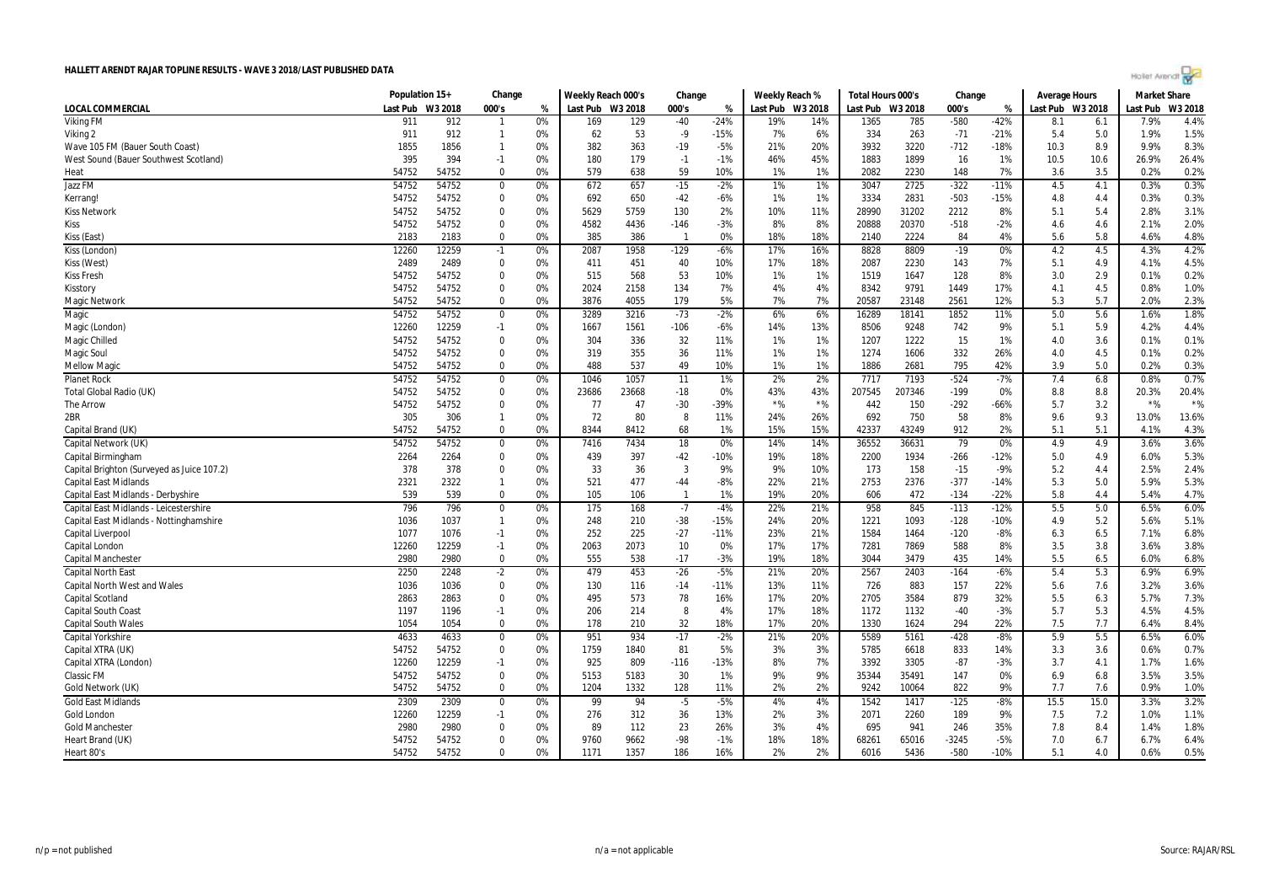|  | Agilet Arengr |  |  |
|--|---------------|--|--|
|  |               |  |  |

|                                            | Population 15+ |         | Change         |    | Weekly Reach 000's |       | Change       |        | Weekly Reach % |         | Total Hours 000's |         | Change  |        | Average Hours    |      | <b>Market Share</b> |         |
|--------------------------------------------|----------------|---------|----------------|----|--------------------|-------|--------------|--------|----------------|---------|-------------------|---------|---------|--------|------------------|------|---------------------|---------|
| LOCAL COMMERCIAL                           | Last Pub       | W3 2018 | 000's          | %  | Last Pub W3 2018   |       | 000's        | %      | Last Pub       | W3 2018 | Last Pub          | W3 2018 | 000's   | %      | Last Pub W3 2018 |      | Last Pub            | W3 2018 |
| <b>Viking FM</b>                           | 911            | 912     |                | 0% | 169                | 129   | $-40$        | $-24%$ | 19%            | 14%     | 1365              | 785     | $-580$  | $-42%$ | 8.1              | 6.1  | 7.9%                | 4.4%    |
| Viking 2                                   | 911            | 912     | $\mathbf{1}$   | 0% | 62                 | 53    | $-9$         | $-15%$ | 7%             | 6%      | 334               | 263     | $-71$   | $-21%$ | 5.4              | 5.0  | 1.9%                | 1.5%    |
| Wave 105 FM (Bauer South Coast)            | 1855           | 1856    | $\mathbf{1}$   | 0% | 382                | 363   | $-19$        | $-5%$  | 21%            | 20%     | 3932              | 3220    | $-712$  | $-18%$ | 10.3             | 8.9  | 9.9%                | 8.3%    |
| West Sound (Bauer Southwest Scotland)      | 395            | 394     | $-1$           | 0% | 180                | 179   | $-1$         | $-1%$  | 46%            | 45%     | 1883              | 1899    | 16      | 1%     | 10.5             | 10.6 | 26.9%               | 26.4%   |
| Heat                                       | 54752          | 54752   | $\mathbf 0$    | 0% | 579                | 638   | 59           | 10%    | 1%             | 1%      | 2082              | 2230    | 148     | 7%     | 3.6              | 3.5  | 0.2%                | 0.2%    |
| Jazz FM                                    | 54752          | 54752   | 0              | 0% | 672                | 657   | $-15$        | $-2%$  | 1%             | 1%      | 3047              | 2725    | $-322$  | $-11%$ | 4.5              | 4.1  | 0.3%                | 0.3%    |
| Kerrang!                                   | 54752          | 54752   | 0              | 0% | 692                | 650   | $-42$        | -6%    | 1%             | 1%      | 3334              | 2831    | $-503$  | $-15%$ | 4.8              | 4.4  | 0.3%                | 0.3%    |
| <b>Kiss Network</b>                        | 54752          | 54752   | $\mathbf 0$    | 0% | 5629               | 5759  | 130          | 2%     | 10%            | 11%     | 28990             | 31202   | 2212    | 8%     | 5.1              | 5.4  | 2.8%                | 3.1%    |
| <b>Kiss</b>                                | 54752          | 54752   | $\Omega$       | 0% | 4582               | 4436  | $-146$       | -3%    | 8%             | 8%      | 20888             | 20370   | $-518$  | $-2%$  | 4.6              | 4.6  | 2.1%                | 2.0%    |
| Kiss (East)                                | 2183           | 2183    | $\mathbf 0$    | 0% | 385                | 386   | $\mathbf{1}$ | 0%     | 18%            | 18%     | 2140              | 2224    | 84      | 4%     | 5.6              | 5.8  | 4.6%                | 4.8%    |
| Kiss (London)                              | 12260          | 12259   | $-1$           | 0% | 2087               | 1958  | $-129$       | $-6%$  | 17%            | 16%     | 8828              | 8809    | $-19$   | 0%     | 4.2              | 4.5  | 4.3%                | 4.2%    |
| Kiss (West)                                | 2489           | 2489    | $\mathbf 0$    | 0% | 411                | 451   | 40           | 10%    | 17%            | 18%     | 2087              | 2230    | 143     | 7%     | 5.1              | 4.9  | 4.1%                | 4.5%    |
| <b>Kiss Fresh</b>                          | 54752          | 54752   | $\mathbf 0$    | 0% | 515                | 568   | 53           | 10%    | 1%             | 1%      | 1519              | 1647    | 128     | 8%     | 3.0              | 2.9  | 0.1%                | 0.2%    |
| Kisstory                                   | 54752          | 54752   | $\mathbf 0$    | 0% | 2024               | 2158  | 134          | 7%     | 4%             | 4%      | 8342              | 9791    | 1449    | 17%    | 4.1              | 4.5  | 0.8%                | 1.0%    |
| Magic Network                              | 54752          | 54752   | $\mathbf 0$    | 0% | 3876               | 4055  | 179          | 5%     | 7%             | 7%      | 20587             | 23148   | 2561    | 12%    | 5.3              | 5.7  | 2.0%                | 2.3%    |
| Magic                                      | 54752          | 54752   | $\mathbf 0$    | 0% | 3289               | 3216  | $-73$        | $-2%$  | 6%             | 6%      | 16289             | 18141   | 1852    | 11%    | 5.0              | 5.6  | 1.6%                | 1.8%    |
| Magic (London                              | 12260          | 12259   | $-1$           | 0% | 1667               | 1561  | $-106$       | -6%    | 14%            | 13%     | 8506              | 9248    | 742     | 9%     | 5.1              | 5.9  | 4.2%                | 4.4%    |
| Magic Chilled                              | 54752          | 54752   | 0              | 0% | 304                | 336   | 32           | 11%    | 1%             | 1%      | 1207              | 1222    | 15      | 1%     | 4.0              | 3.6  | 0.1%                | 0.1%    |
| <b>Magic Soul</b>                          | 54752          | 54752   | 0              | 0% | 319                | 355   | 36           | 11%    | 1%             | 1%      | 1274              | 1606    | 332     | 26%    | 4.0              | 4.5  | 0.1%                | 0.2%    |
| <b>Mellow Magic</b>                        | 54752          | 54752   | $\Omega$       | 0% | 488                | 537   | 49           | 10%    | 1%             | 1%      | 1886              | 2681    | 795     | 42%    | 3.9              | 5.0  | 0.2%                | 0.3%    |
| <b>Planet Rock</b>                         | 54752          | 54752   | $\mathbf 0$    | 0% | 1046               | 1057  | 11           | 1%     | 2%             | 2%      | 7717              | 7193    | $-524$  | $-7%$  | 7.4              | 6.8  | 0.8%                | 0.7%    |
| <b>Total Global Radio (UK)</b>             | 54752          | 54752   | $\mathbf 0$    | 0% | 23686              | 23668 | $-18$        | 0%     | 43%            | 43%     | 207545            | 207346  | $-199$  | 0%     | 8.8              | 8.8  | 20.3%               | 20.4%   |
| <b>The Arrow</b>                           | 54752          | 54752   | $\mathbf 0$    | 0% | 77                 | 47    | $-30$        | $-39%$ | $*$ %          | $*$ %   | 442               | 150     | $-292$  | $-66%$ | 5.7              | 3.2  | $*$ %               | $*$ %   |
| 2BR                                        | 305            | 306     | $\mathbf{1}$   | 0% | 72                 | 80    | 8            | 11%    | 24%            | 26%     | 692               | 750     | 58      | 8%     | 9.6              | 9.3  | 13.0%               | 13.6%   |
| Capital Brand (UK)                         | 54752          | 54752   | 0              | 0% | 8344               | 8412  | 68           | 1%     | 15%            | 15%     | 42337             | 43249   | 912     | 2%     | 5.1              | 5.1  | 4.1%                | 4.3%    |
| Capital Network (UK)                       | 54752          | 54752   | $\mathbf 0$    | 0% | 7416               | 7434  | 18           | 0%     | 14%            | 14%     | 36552             | 36631   | 79      | 0%     | 4.9              | 4.9  | 3.6%                | 3.6%    |
| Capital Birmingham                         | 2264           | 2264    | 0              | 0% | 439                | 397   | $-42$        | $-10%$ | 19%            | 18%     | 2200              | 1934    | $-266$  | $-12%$ | 5.0              | 4.9  | 6.0%                | 5.3%    |
| Capital Brighton (Surveyed as Juice 107.2) | 378            | 378     | $\mathbf 0$    | 0% | 33                 | 36    | 3            | 9%     | 9%             | 10%     | 173               | 158     | $-15$   | $-9%$  | 5.2              | 4.4  | 2.5%                | 2.4%    |
| <b>Capital East Midlands</b>               | 2321           | 2322    | $\mathbf{1}$   | 0% | 521                | 477   | $-44$        | $-8%$  | 22%            | 21%     | 2753              | 2376    | $-377$  | $-14%$ | 5.3              | 5.0  | 5.9%                | 5.3%    |
| Capital East Midlands - Derbyshire         | 539            | 539     | $\Omega$       | 0% | 105                | 106   | -1           | 1%     | 19%            | 20%     | 606               | 472     | $-134$  | $-22%$ | 5.8              | 4.4  | 5.4%                | 4.7%    |
| Capital East Midlands - Leicestershire     | 796            | 796     | $\overline{0}$ | 0% | 175                | 168   | $-7$         | $-4%$  | 22%            | 21%     | 958               | 845     | $-113$  | $-12%$ | 5.5              | 5.0  | 6.5%                | 6.0%    |
| Capital East Midlands - Nottinghamshire    | 1036           | 1037    | $\mathbf{1}$   | 0% | 248                | 210   | $-38$        | $-15%$ | 24%            | 20%     | 1221              | 1093    | $-128$  | $-10%$ | 4.9              | 5.2  | 5.6%                | 5.1%    |
| Capital Liverpool                          | 1077           | 1076    | $-1$           | 0% | 252                | 225   | $-27$        | $-11%$ | 23%            | 21%     | 1584              | 1464    | $-120$  | $-8%$  | 6.3              | 6.5  | 7.1%                | 6.8%    |
| Capital London                             | 12260          | 12259   | $-1$           | 0% | 2063               | 2073  | 10           | 0%     | 17%            | 17%     | 7281              | 7869    | 588     | 8%     | 3.5              | 3.8  | 3.6%                | 3.8%    |
| <b>Capital Manchester</b>                  | 2980           | 2980    | $\mathbf 0$    | 0% | 555                | 538   | $-17$        | $-3%$  | 19%            | 18%     | 3044              | 3479    | 435     | 14%    | 5.5              | 6.5  | 6.0%                | 6.8%    |
| <b>Capital North East</b>                  | 2250           | 2248    | $-2$           | 0% | 479                | 453   | $-26$        | $-5%$  | 21%            | 20%     | 2567              | 2403    | $-164$  | $-6%$  | 5.4              | 5.3  | 6.9%                | 6.9%    |
| <b>Capital North West and Wales</b>        | 1036           | 1036    | $\mathbf 0$    | 0% | 130                | 116   | $-14$        | $-11%$ | 13%            | 11%     | 726               | 883     | 157     | 22%    | 5.6              | 7.6  | 3.2%                | 3.6%    |
| Capital Scotland                           | 2863           | 2863    | 0              | 0% | 495                | 573   | 78           | 16%    | 17%            | 20%     | 2705              | 3584    | 879     | 32%    | 5.5              | 6.3  | 5.7%                | 7.3%    |
| <b>Capital South Coast</b>                 | 1197           | 1196    | $-1$           | 0% | 206                | 214   | 8            | 4%     | 17%            | 18%     | 1172              | 1132    | $-40$   | $-3%$  | 5.7              | 5.3  | 4.5%                | 4.5%    |
| <b>Capital South Wales</b>                 | 1054           | 1054    | $\mathbf 0$    | 0% | 178                | 210   | 32           | 18%    | 17%            | 20%     | 1330              | 1624    | 294     | 22%    | 7.5              | 7.7  | 6.4%                | 8.4%    |
| <b>Capital Yorkshire</b>                   | 4633           | 4633    | $\mathbf 0$    | 0% | 951                | 934   | $-17$        | $-2%$  | 21%            | 20%     | 5589              | 5161    | $-428$  | $-8%$  | 5.9              | 5.5  | 6.5%                | 6.0%    |
| Capital XTRA (UK)                          | 54752          | 54752   | $\mathbf 0$    | 0% | 1759               | 1840  | 81           | 5%     | 3%             | 3%      | 5785              | 6618    | 833     | 14%    | 3.3              | 3.6  | 0.6%                | 0.7%    |
| Capital XTRA (London)                      | 12260          | 12259   | $-1$           | 0% | 925                | 809   | $-116$       | $-13%$ | 8%             | 7%      | 3392              | 3305    | $-87$   | $-3%$  | 3.7              | 4.1  | 1.7%                | 1.6%    |
| <b>Classic FM</b>                          | 54752          | 54752   | $\mathbf 0$    | 0% | 5153               | 5183  | 30           | 1%     | 9%             | 9%      | 35344             | 35491   | 147     | 0%     | 6.9              | 6.8  | 3.5%                | 3.5%    |
| Gold Network (UK)                          | 54752          | 54752   | $\mathbf 0$    | 0% | 1204               | 1332  | 128          | 11%    | 2%             | 2%      | 9242              | 10064   | 822     | 9%     | 7.7              | 7.6  | 0.9%                | 1.0%    |
| <b>Gold East Midlands</b>                  | 2309           | 2309    | $\mathbf 0$    | 0% | 99                 | 94    | $-5$         | $-5%$  | 4%             | 4%      | 1542              | 1417    | $-125$  | $-8%$  | 15.5             | 15.0 | 3.3%                | 3.2%    |
| Gold London                                | 12260          | 12259   | $-1$           | 0% | 276                | 312   | 36           | 13%    | 2%             | 3%      | 2071              | 2260    | 189     | 9%     | 7.5              | 7.2  | 1.0%                | 1.1%    |
| <b>Gold Manchester</b>                     | 2980           | 2980    | $\mathbf 0$    | 0% | 89                 | 112   | 23           | 26%    | 3%             | 4%      | 695               | 941     | 246     | 35%    | 7.8              | 8.4  | 1.4%                | 1.8%    |
| Heart Brand (UK)                           | 54752          | 54752   | 0              | 0% | 9760               | 9662  | -98          | $-1%$  | 18%            | 18%     | 68261             | 65016   | $-3245$ | $-5%$  | 7.0              | 6.7  | 6.7%                | 6.4%    |
| Heart 80's                                 | 54752          | 54752   | $\mathbf 0$    | 0% | 1171               | 1357  | 186          | 16%    | 2%             | 2%      | 6016              | 5436    | $-580$  | $-10%$ | 5.1              | 4.0  | 0.6%                | 0.5%    |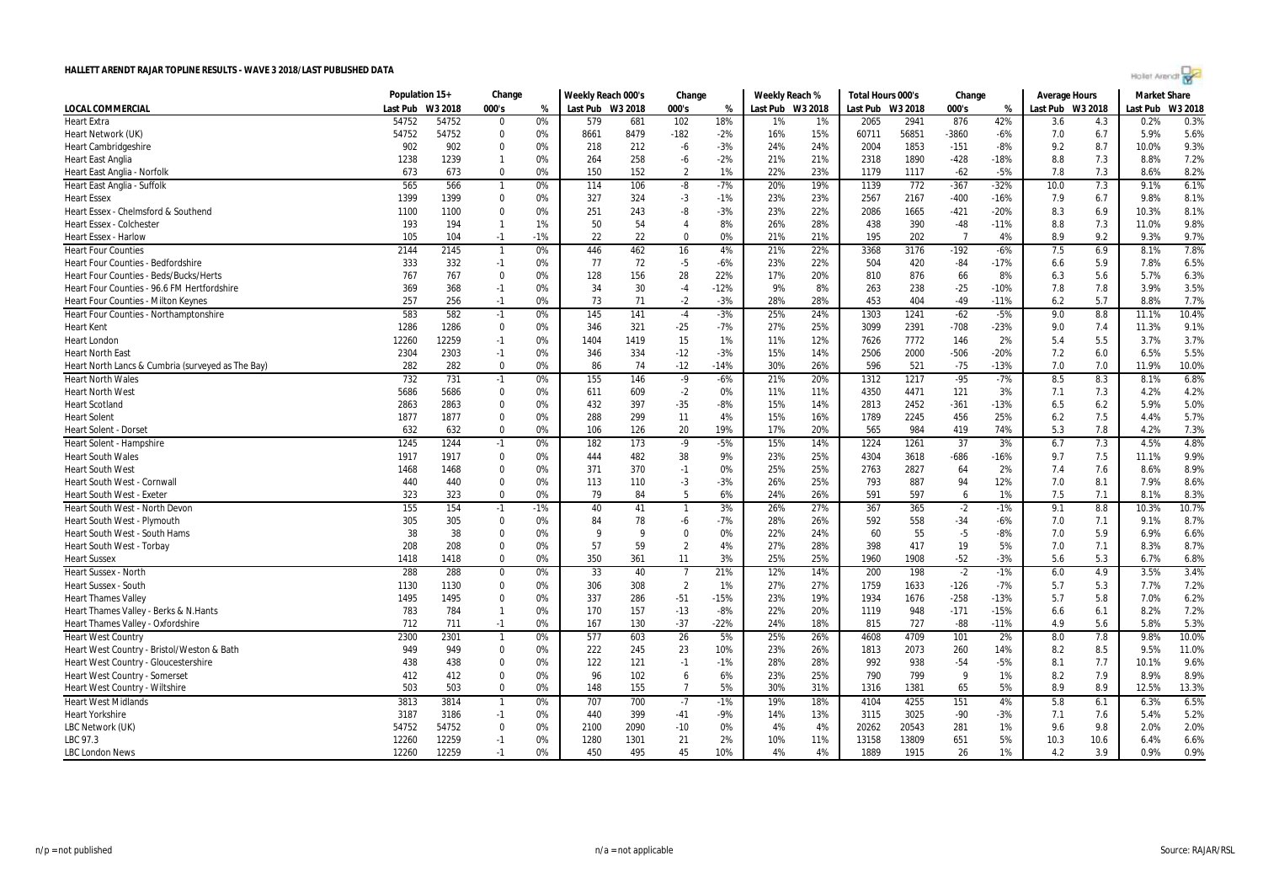|  | Agilet Arengr |  |  |
|--|---------------|--|--|
|  |               |  |  |

|                                                   | Population 15+ |         | Change         |       | Weekly Reach 000's |      | Change         |        | Weekly Reach %   |     | Total Hours 000's |       | Change         |        | <b>Average Hours</b> |      | <b>Market Share</b> |         |
|---------------------------------------------------|----------------|---------|----------------|-------|--------------------|------|----------------|--------|------------------|-----|-------------------|-------|----------------|--------|----------------------|------|---------------------|---------|
| LOCAL COMMERCIAL                                  | Last Pub       | W3 2018 | 000's          | %     | Last Pub W3 2018   |      | 000's          | %      | Last Pub W3 2018 |     | Last Pub W3 2018  |       | 000's          | %      | Last Pub W3 2018     |      | Last Pub            | W3 2018 |
| <b>Heart Extra</b>                                | 54752          | 54752   | $\Omega$       | 0%    | 579                | 681  | 102            | 18%    | 1%               | 1%  | 2065              | 2941  | 876            | 42%    | 3.6                  | 4.3  | 0.2%                | 0.3%    |
| Heart Network (UK)                                | 54752          | 54752   | $\mathbf 0$    | 0%    | 8661               | 8479 | $-182$         | $-2%$  | 16%              | 15% | 60711             | 56851 | $-3860$        | $-6%$  | 7.0                  | 6.7  | 5.9%                | 5.6%    |
| <b>Heart Cambridgeshire</b>                       | 902            | 902     | $\mathbf 0$    | 0%    | 218                | 212  | -6             | $-3%$  | 24%              | 24% | 2004              | 1853  | $-151$         | $-8%$  | 9.2                  | 8.7  | 10.0%               | 9.3%    |
| <b>Heart East Anglia</b>                          | 1238           | 1239    | $\mathbf{1}$   | 0%    | 264                | 258  | $-6$           | $-2%$  | 21%              | 21% | 2318              | 1890  | $-428$         | $-18%$ | 8.8                  | 7.3  | 8.8%                | 7.2%    |
| Heart East Anglia - Norfolk                       | 673            | 673     | $\mathbf 0$    | 0%    | 150                | 152  | $\overline{2}$ | 1%     | 22%              | 23% | 1179              | 1117  | $-62$          | $-5%$  | 7.8                  | 7.3  | 8.6%                | 8.2%    |
| Heart East Anglia - Suffolk                       | 565            | 566     | $\mathbf{1}$   | 0%    | 114                | 106  | $-8$           | $-7%$  | 20%              | 19% | 1139              | 772   | $-367$         | $-32%$ | 10.0                 | 7.3  | 9.1%                | 6.1%    |
| <b>Heart Essex</b>                                | 1399           | 1399    | $\mathbf 0$    | 0%    | 327                | 324  | $-3$           | $-1%$  | 23%              | 23% | 2567              | 2167  | $-400$         | $-16%$ | 7.9                  | 6.7  | 9.8%                | 8.1%    |
| Heart Essex - Chelmsford & Southend               | 1100           | 1100    | $\mathbf 0$    | 0%    | 251                | 243  | -8             | $-3%$  | 23%              | 22% | 2086              | 1665  | $-421$         | $-20%$ | 8.3                  | 6.9  | 10.3%               | 8.1%    |
| <b>Heart Essex - Colchester</b>                   | 193            | 194     | $\overline{1}$ | 1%    | 50                 | 54   | $\overline{4}$ | 8%     | 26%              | 28% | 438               | 390   | $-48$          | $-11%$ | 8.8                  | 7.3  | 11.0%               | 9.8%    |
| Heart Essex - Harlow                              | 105            | 104     | $-1$           | $-1%$ | 22                 | 22   | $\mathbf 0$    | 0%     | 21%              | 21% | 195               | 202   | $\overline{7}$ | 4%     | 8.9                  | 9.2  | 9.3%                | 9.7%    |
| <b>Heart Four Counties</b>                        | 2144           | 2145    | $\mathbf{1}$   | 0%    | 446                | 462  | 16             | 4%     | 21%              | 22% | 3368              | 3176  | $-192$         | $-6%$  | 7.5                  | 6.9  | 8.1%                | 7.8%    |
| Heart Four Counties - Bedfordshire                | 333            | 332     | $-1$           | 0%    | 77                 | 72   | $-5$           | $-6%$  | 23%              | 22% | 504               | 420   | $-84$          | $-17%$ | 6.6                  | 5.9  | 7.8%                | 6.5%    |
| Heart Four Counties - Beds/Bucks/Herts            | 767            | 767     | 0              | 0%    | 128                | 156  | 28             | 22%    | 17%              | 20% | 810               | 876   | 66             | 8%     | 6.3                  | 5.6  | 5.7%                | 6.3%    |
| Heart Four Counties - 96.6 FM Hertfordshire       | 369            | 368     | $-1$           | 0%    | 34                 | 30   | $-4$           | $-12%$ | 9%               | 8%  | 263               | 238   | $-25$          | $-10%$ | 7.8                  | 7.8  | 3.9%                | 3.5%    |
| Heart Four Counties - Milton Keynes               | 257            | 256     | $-1$           | 0%    | 73                 | 71   | $-2$           | $-3%$  | 28%              | 28% | 453               | 404   | $-49$          | $-11%$ | 6.2                  | 5.7  | 8.8%                | 7.7%    |
| Heart Four Counties - Northamptonshire            | 583            | 582     | $-1$           | 0%    | 145                | 141  | $-4$           | $-3%$  | 25%              | 24% | 1303              | 1241  | $-62$          | $-5%$  | 9.0                  | 8.8  | 11.1%               | 10.4%   |
| <b>Heart Kent</b>                                 | 1286           | 1286    | $\mathbf 0$    | 0%    | 346                | 321  | $-25$          | $-7%$  | 27%              | 25% | 3099              | 2391  | $-708$         | $-23%$ | 9.0                  | 7.4  | 11.3%               | 9.1%    |
| <b>Heart London</b>                               | 12260          | 12259   | $-1$           | 0%    | 1404               | 1419 | 15             | 1%     | 11%              | 12% | 7626              | 7772  | 146            | 2%     | 5.4                  | 5.5  | 3.7%                | 3.7%    |
| <b>Heart North East</b>                           | 2304           | 2303    | $-1$           | 0%    | 346                | 334  | $-12$          | $-3%$  | 15%              | 14% | 2506              | 2000  | $-506$         | $-20%$ | 7.2                  | 6.0  | 6.5%                | 5.5%    |
| Heart North Lancs & Cumbria (surveyed as The Bay) | 282            | 282     | $\mathbf 0$    | 0%    | 86                 | 74   | $-12$          | $-14%$ | 30%              | 26% | 596               | 521   | $-75$          | $-13%$ | 7.0                  | 7.0  | 11.9%               | 10.0%   |
| <b>Heart North Wales</b>                          | 732            | 731     | $-1$           | 0%    | 155                | 146  | $-9$           | $-6%$  | 21%              | 20% | 1312              | 1217  | $-95$          | $-7%$  | 8.5                  | 8.3  | 8.1%                | 6.8%    |
| <b>Heart North West</b>                           | 5686           | 5686    | $\mathbf 0$    | 0%    | 611                | 609  | $-2$           | 0%     | 11%              | 11% | 4350              | 4471  | 121            | 3%     | 7.1                  | 7.3  | 4.2%                | 4.2%    |
| <b>Heart Scotland</b>                             | 2863           | 2863    | $\mathbf 0$    | 0%    | 432                | 397  | $-35$          | $-8%$  | 15%              | 14% | 2813              | 2452  | $-361$         | $-13%$ | 6.5                  | 6.2  | 5.9%                | 5.0%    |
| <b>Heart Solent</b>                               | 1877           | 1877    | 0              | 0%    | 288                | 299  | 11             | 4%     | 15%              | 16% | 1789              | 2245  | 456            | 25%    | 6.2                  | 7.5  | 4.4%                | 5.7%    |
| <b>Heart Solent - Dorset</b>                      | 632            | 632     | $\Omega$       | 0%    | 106                | 126  | 20             | 19%    | 17%              | 20% | 565               | 984   | 419            | 74%    | 5.3                  | 7.8  | 4.2%                | 7.3%    |
| Heart Solent - Hampshire                          | 1245           | 1244    | $-1$           | 0%    | 182                | 173  | $-9$           | $-5%$  | 15%              | 14% | 1224              | 1261  | 37             | 3%     | 6.7                  | 7.3  | 4.5%                | 4.8%    |
| <b>Heart South Wales</b>                          | 1917           | 1917    | $\Omega$       | 0%    | 444                | 482  | 38             | 9%     | 23%              | 25% | 4304              | 3618  | $-686$         | $-16%$ | 9.7                  | 7.5  | 11.1%               | 9.9%    |
| <b>Heart South West</b>                           | 1468           | 1468    | $\mathbf 0$    | 0%    | 371                | 370  | $-1$           | 0%     | 25%              | 25% | 2763              | 2827  | 64             | 2%     | 7.4                  | 7.6  | 8.6%                | 8.9%    |
| Heart South West - Cornwall                       | 440            | 440     | $\Omega$       | 0%    | 113                | 110  | -3             | $-3%$  | 26%              | 25% | 793               | 887   | 94             | 12%    | 7.0                  | 8.1  | 7.9%                | 8.6%    |
| <b>Heart South West - Exeter</b>                  | 323            | 323     | $\Omega$       | 0%    | 79                 | 84   | 5              | 6%     | 24%              | 26% | 591               | 597   | 6              | 1%     | 7.5                  | 7.1  | 8.1%                | 8.3%    |
| Heart South West - North Devon                    | 155            | 154     | $-1$           | $-1%$ | 40                 | 41   |                | 3%     | 26%              | 27% | 367               | 365   | $-2$           | $-1%$  | 9.1                  | 8.8  | 10.3%               | 10.7%   |
| Heart South West - Plymouth                       | 305            | 305     | $\mathbf 0$    | 0%    | 84                 | 78   | -6             | $-7%$  | 28%              | 26% | 592               | 558   | $-34$          | $-6%$  | 7.0                  | 7.1  | 9.1%                | 8.7%    |
| Heart South West - South Hams                     | 38             | 38      | $\Omega$       | 0%    | q                  | q    | $\mathbf 0$    | 0%     | 22%              | 24% | 60                | 55    | $-5$           | $-8%$  | 7.0                  | 5.9  | 6.9%                | 6.6%    |
| Heart South West - Torbay                         | 208            | 208     | $\Omega$       | 0%    | 57                 | 59   | $\overline{2}$ | 4%     | 27%              | 28% | 398               | 417   | 19             | 5%     | 7.0                  | 7.1  | 8.3%                | 8.7%    |
| <b>Heart Sussex</b>                               | 1418           | 1418    | $\mathbf 0$    | 0%    | 350                | 361  | 11             | 3%     | 25%              | 25% | 1960              | 1908  | $-52$          | $-3%$  | 5.6                  | 5.3  | 6.7%                | 6.8%    |
| <b>Heart Sussex - North</b>                       | 288            | 288     | $\mathbf 0$    | 0%    | 33                 | 40   | $\overline{7}$ | 21%    | 12%              | 14% | 200               | 198   | $-2$           | $-1%$  | 6.0                  | 4.9  | 3.5%                | 3.4%    |
| <b>Heart Sussex - South</b>                       | 1130           | 1130    | $\mathbf 0$    | 0%    | 306                | 308  | $\overline{2}$ | 1%     | 27%              | 27% | 1759              | 1633  | $-126$         | $-7%$  | 5.7                  | 5.3  | 7.7%                | 7.2%    |
| <b>Heart Thames Valley</b>                        | 1495           | 1495    | $\Omega$       | 0%    | 337                | 286  | $-51$          | $-15%$ | 23%              | 19% | 1934              | 1676  | $-258$         | $-13%$ | 5.7                  | 5.8  | 7.0%                | 6.2%    |
| Heart Thames Valley - Berks & N.Hants             | 783            | 784     | $\mathbf{1}$   | 0%    | 170                | 157  | $-13$          | $-8%$  | 22%              | 20% | 1119              | 948   | $-171$         | $-15%$ | 6.6                  | 6.1  | 8.2%                | 7.2%    |
| Heart Thames Valley - Oxfordshire                 | 712            | 711     | $-1$           | 0%    | 167                | 130  | $-37$          | $-22%$ | 24%              | 18% | 815               | 727   | $-88$          | $-11%$ | 4.9                  | 5.6  | 5.8%                | 5.3%    |
| <b>Heart West Country</b>                         | 2300           | 2301    | $\mathbf{1}$   | 0%    | 577                | 603  | 26             | 5%     | 25%              | 26% | 4608              | 4709  | 101            | 2%     | 8.0                  | 7.8  | 9.8%                | 10.0%   |
| Heart West Country - Bristol/Weston & Bath        | 949            | 949     | $\mathbf 0$    | 0%    | 222                | 245  | 23             | 10%    | 23%              | 26% | 1813              | 2073  | 260            | 14%    | 8.2                  | 8.5  | 9.5%                | 11.0%   |
| Heart West Country - Gloucestershire              | 438            | 438     | $\Omega$       | 0%    | 122                | 121  | $-1$           | $-1%$  | 28%              | 28% | 992               | 938   | $-54$          | $-5%$  | 8.1                  | 7.7  | 10.1%               | 9.6%    |
| <b>Heart West Country - Somerset</b>              | 412            | 412     | $\mathbf 0$    | 0%    | 96                 | 102  | 6              | 6%     | 23%              | 25% | 790               | 799   | 9              | 1%     | 8.2                  | 7.9  | 8.9%                | 8.9%    |
| Heart West Country - Wiltshire                    | 503            | 503     | $\mathbf 0$    | 0%    | 148                | 155  | 7              | 5%     | 30%              | 31% | 1316              | 1381  | 65             | 5%     | 8.9                  | 8.9  | 12.5%               | 13.3%   |
| <b>Heart West Midlands</b>                        | 3813           | 3814    | $\mathbf{1}$   | 0%    | 707                | 700  | $-7$           | $-1%$  | 19%              | 18% | 4104              | 4255  | 151            | 4%     | 5.8                  | 6.1  | 6.3%                | 6.5%    |
| <b>Heart Yorkshire</b>                            | 3187           | 3186    | $-1$           | 0%    | 440                | 399  | $-41$          | $-9%$  | 14%              | 13% | 3115              | 3025  | $-90$          | $-3%$  | 7.1                  | 7.6  | 5.4%                | 5.2%    |
| LBC Network (UK)                                  | 54752          | 54752   | 0              | 0%    | 2100               | 2090 | $-10$          | 0%     | 4%               | 4%  | 20262             | 20543 | 281            | 1%     | 9.6                  | 9.8  | 2.0%                | 2.0%    |
| LBC 97.3                                          | 12260          | 12259   | $-1$           | 0%    | 1280               | 1301 | 21             | 2%     | 10%              | 11% | 13158             | 13809 | 651            | 5%     | 10.3                 | 10.6 | 6.4%                | 6.6%    |
| <b>LBC London News</b>                            | 12260          | 12259   | $-1$           | 0%    | 450                | 495  | 45             | 10%    | 4%               | 4%  | 1889              | 1915  | 26             | 1%     | 4.2                  | 3.9  | 0.9%                | 0.9%    |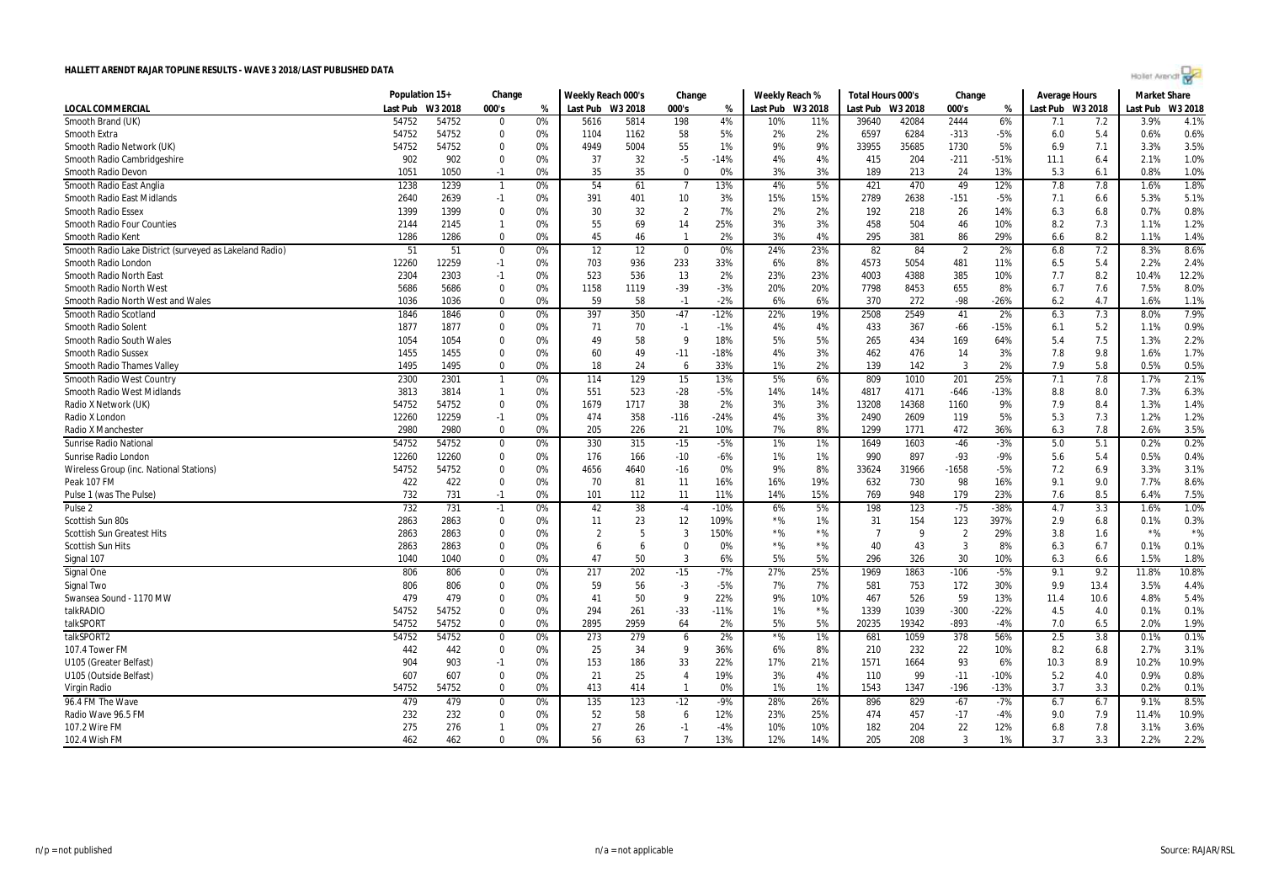|  | Agilet Arengr |  |  |
|--|---------------|--|--|
|  |               |  |  |

|                                                         | Population 15+ |         | Change       |    | Weekly Reach 000's |      | Change         |        | Weekly Reach % |         | Total Hours 000's |       | Change         |        | <b>Average Hours</b> |      | <b>Market Share</b> |         |
|---------------------------------------------------------|----------------|---------|--------------|----|--------------------|------|----------------|--------|----------------|---------|-------------------|-------|----------------|--------|----------------------|------|---------------------|---------|
| LOCAL COMMERCIAL                                        | Last Pub       | W3 2018 | 000's        | %  | Last Pub W3 2018   |      | 000's          | %      | Last Pub       | W3 2018 | Last Pub W3 2018  |       | 000's          | %      | Last Pub W3 2018     |      | Last Pub            | W3 2018 |
| Smooth Brand (UK)                                       | 54752          | 54752   | $\Omega$     | 0% | 5616               | 5814 | 198            | 4%     | 10%            | 11%     | 39640             | 42084 | 2444           | 6%     | 7.1                  | 7.2  | 3.9%                | 4.1%    |
| Smooth Extra                                            | 54752          | 54752   | $\Omega$     | 0% | 1104               | 1162 | 58             | 5%     | 2%             | 2%      | 6597              | 6284  | $-313$         | $-5%$  | 6.0                  | 5.4  | 0.6%                | 0.6%    |
| Smooth Radio Network (UK)                               | 54752          | 54752   | $\Omega$     | 0% | 4949               | 5004 | 55             | 1%     | 9%             | 9%      | 33955             | 35685 | 1730           | 5%     | 6.9                  | 7.1  | 3.3%                | 3.5%    |
| Smooth Radio Cambridgeshire                             | 902            | 902     | $\Omega$     | 0% | 37                 | 32   | -5             | $-14%$ | 4%             | 4%      | 415               | 204   | $-211$         | -51%   | 11.1                 | 6.4  | 2.1%                | 1.0%    |
| Smooth Radio Devon                                      | 1051           | 1050    | $-1$         | 0% | 35                 | 35   | $\Omega$       | 0%     | 3%             | 3%      | 189               | 213   | 24             | 13%    | 5.3                  | 6.1  | 0.8%                | 1.0%    |
| Smooth Radio East Anglia                                | 1238           | 1239    | -1           | 0% | 54                 | 61   | 7              | 13%    | 4%             | 5%      | 421               | 470   | 49             | 12%    | 7.8                  | 7.8  | 1.6%                | 1.8%    |
| Smooth Radio East Midlands                              | 2640           | 2639    | $-1$         | 0% | 391                | 401  | 10             | 3%     | 15%            | 15%     | 2789              | 2638  | $-151$         | -5%    | 7.1                  | 6.6  | 5.3%                | 5.1%    |
| <b>Smooth Radio Essex</b>                               | 1399           | 1399    | $\Omega$     | 0% | 30                 | 32   | $\overline{2}$ | 7%     | 2%             | 2%      | 192               | 218   | 26             | 14%    | 6.3                  | 6.8  | 0.7%                | 0.8%    |
| <b>Smooth Radio Four Counties</b>                       | 2144           | 2145    | $\mathbf{1}$ | 0% | 55                 | 69   | 14             | 25%    | 3%             | 3%      | 458               | 504   | 46             | 10%    | 8.2                  | 7.3  | 1.1%                | 1.2%    |
| Smooth Radio Kent                                       | 1286           | 1286    | $\Omega$     | 0% | 45                 | 46   | $\mathbf{1}$   | 2%     | 3%             | 4%      | 295               | 381   | 86             | 29%    | 6.6                  | 8.2  | 1.1%                | 1.4%    |
| Smooth Radio Lake District (surveyed as Lakeland Radio) | 51             | 51      | $\Omega$     | 0% | 12                 | 12   | $\Omega$       | 0%     | 24%            | 23%     | 82                | 84    | $\overline{2}$ | 2%     | 6.8                  | 7.2  | 8.3%                | 8.6%    |
| Smooth Radio London                                     | 12260          | 12259   | $-1$         | 0% | 703                | 936  | 233            | 33%    | 6%             | 8%      | 4573              | 5054  | 481            | 11%    | 6.5                  | 5.4  | 2.2%                | 2.4%    |
| Smooth Radio North East                                 | 2304           | 2303    | $-1$         | 0% | 523                | 536  | 13             | 2%     | 23%            | 23%     | 4003              | 4388  | 385            | 10%    | 7.7                  | 8.2  | 10.4%               | 12.2%   |
| Smooth Radio North West                                 | 5686           | 5686    | $\mathbf 0$  | 0% | 1158               | 1119 | $-39$          | $-3%$  | 20%            | 20%     | 7798              | 8453  | 655            | 8%     | 6.7                  | 7.6  | 7.5%                | 8.0%    |
| Smooth Radio North West and Wales                       | 1036           | 1036    | $\Omega$     | 0% | 59                 | 58   | $-1$           | $-2%$  | 6%             | 6%      | 370               | 272   | $-98$          | $-26%$ | 6.2                  | 4.7  | 1.6%                | 1.1%    |
| Smooth Radio Scotland                                   | 1846           | 1846    | $\Omega$     | 0% | 397                | 350  | $-47$          | $-12%$ | 22%            | 19%     | 2508              | 2549  | 41             | 2%     | 6.3                  | 7.3  | 8.0%                | 7.9%    |
| Smooth Radio Solent                                     | 1877           | 1877    | $\Omega$     | 0% | 71                 | 70   | $-1$           | $-1%$  | 4%             | 4%      | 433               | 367   | $-66$          | $-15%$ | 6.1                  | 5.2  | 1.1%                | 0.9%    |
| Smooth Radio South Wales                                | 1054           | 1054    | $\Omega$     | 0% | 49                 | 58   | 9              | 18%    | 5%             | 5%      | 265               | 434   | 169            | 64%    | 5.4                  | 7.5  | 1.3%                | 2.2%    |
| <b>Smooth Radio Sussex</b>                              | 1455           | 1455    | $\Omega$     | 0% | 60                 | 49   | $-11$          | $-18%$ | 4%             | 3%      | 462               | 476   | 14             | 3%     | 7.8                  | 9.8  | 1.6%                | 1.7%    |
| Smooth Radio Thames Valley                              | 1495           | 1495    | $\Omega$     | 0% | 18                 | 24   | 6              | 33%    | 1%             | 2%      | 139               | 142   | 3              | 2%     | 7.9                  | 5.8  | 0.5%                | 0.5%    |
| Smooth Radio West Country                               | 2300           | 2301    | $\mathbf{1}$ | 0% | 114                | 129  | 15             | 13%    | 5%             | 6%      | 809               | 1010  | 201            | 25%    | 7.1                  | 7.8  | 1.7%                | 2.1%    |
| Smooth Radio West Midlands                              | 3813           | 3814    | $\mathbf{1}$ | 0% | 551                | 523  | $-28$          | $-5%$  | 14%            | 14%     | 4817              | 4171  | $-646$         | $-13%$ | 8.8                  | 8.0  | 7.3%                | 6.3%    |
| Radio X Network (UK)                                    | 54752          | 54752   | $\Omega$     | 0% | 1679               | 1717 | 38             | 2%     | 3%             | 3%      | 13208             | 14368 | 1160           | 9%     | 7.9                  | 8.4  | 1.3%                | 1.4%    |
| Radio X London                                          | 12260          | 12259   | $-1$         | 0% | 474                | 358  | $-116$         | $-24%$ | 4%             | 3%      | 2490              | 2609  | 119            | 5%     | 5.3                  | 7.3  | 1.2%                | 1.2%    |
| Radio X Manchester                                      | 2980           | 2980    | $\Omega$     | 0% | 205                | 226  | 21             | 10%    | 7%             | 8%      | 1299              | 1771  | 472            | 36%    | 6.3                  | 7.8  | 2.6%                | 3.5%    |
| <b>Sunrise Radio National</b>                           | 54752          | 54752   | $\mathbf 0$  | 0% | 330                | 315  | $-15$          | $-5%$  | 1%             | 1%      | 1649              | 1603  | $-46$          | $-3%$  | 5.0                  | 5.1  | 0.2%                | 0.2%    |
| Sunrise Radio London                                    | 12260          | 12260   | $\Omega$     | 0% | 176                | 166  | $-10$          | $-6%$  | 1%             | 1%      | 990               | 897   | $-93$          | $-9%$  | 5.6                  | 5.4  | 0.5%                | 0.4%    |
| Wireless Group (inc. National Stations)                 | 54752          | 54752   | $\mathbf 0$  | 0% | 4656               | 4640 | $-16$          | 0%     | 9%             | 8%      | 33624             | 31966 | -1658          | $-5%$  | 7.2                  | 6.9  | 3.3%                | 3.1%    |
| Peak 107 FM                                             | 422            | 422     | $\Omega$     | 0% | 70                 | 81   | 11             | 16%    | 16%            | 19%     | 632               | 730   | 98             | 16%    | 9.1                  | 9.0  | 7.7%                | 8.6%    |
| Pulse 1 (was The Pulse)                                 | 732            | 731     | $-1$         | 0% | 101                | 112  | 11             | 11%    | 14%            | 15%     | 769               | 948   | 179            | 23%    | 7.6                  | 8.5  | 6.4%                | 7.5%    |
| Pulse <sub>2</sub>                                      | 732            | 731     | $-1$         | 0% | 42                 | 38   | $-4$           | $-10%$ | 6%             | 5%      | 198               | 123   | $-75$          | $-38%$ | 4.7                  | 3.3  | 1.6%                | 1.0%    |
| Scottish Sun 80s                                        | 2863           | 2863    | $\Omega$     | 0% | 11                 | 23   | 12             | 109%   | $*$ %          | 1%      | 31                | 154   | 123            | 397%   | 2.9                  | 6.8  | 0.1%                | 0.3%    |
| <b>Scottish Sun Greatest Hits</b>                       | 2863           | 2863    | $\Omega$     | 0% | $\overline{2}$     | 5    | 3              | 150%   | $*$ %          | $*$ %   | $\overline{7}$    | q     | $\overline{2}$ | 29%    | 3.8                  | 1.6  | $*$ %               | $*$ %   |
| <b>Scottish Sun Hits</b>                                | 2863           | 2863    | $\Omega$     | 0% | 6                  | 6    | $\Omega$       | 0%     | $*$ %          | $*$ %   | 40                | 43    | -3             | 8%     | 6.3                  | 6.7  | 0.1%                | 0.1%    |
| Signal 107                                              | 1040           | 1040    | $\Omega$     | 0% | 47                 | 50   | 3              | 6%     | 5%             | 5%      | 296               | 326   | 30             | 10%    | 6.3                  | 6.6  | 1.5%                | 1.8%    |
| Signal One                                              | 806            | 806     | $\Omega$     | 0% | 217                | 202  | $-15$          | $-7%$  | 27%            | 25%     | 1969              | 1863  | $-106$         | $-5%$  | 9.1                  | 9.2  | 11.8%               | 10.8%   |
| Signal Two                                              | 806            | 806     | $\Omega$     | 0% | 59                 | 56   | $-3$           | $-5%$  | 7%             | 7%      | 581               | 753   | 172            | 30%    | 9.9                  | 13.4 | 3.5%                | 4.4%    |
| Swansea Sound - 1170 MW                                 | 479            | 479     | $\Omega$     | 0% | 41                 | 50   | 9              | 22%    | 9%             | 10%     | 467               | 526   | 59             | 13%    | 11.4                 | 10.6 | 4.8%                | 5.4%    |
| talkRADIO                                               | 54752          | 54752   | $\Omega$     | 0% | 294                | 261  | $-33$          | $-11%$ | 1%             | $*96$   | 1339              | 1039  | $-300$         | $-22%$ | 4.5                  | 4.0  | 0.1%                | 0.1%    |
| talkSPORT                                               | 54752          | 54752   | $\Omega$     | 0% | 2895               | 2959 | 64             | 2%     | 5%             | 5%      | 20235             | 19342 | $-893$         | $-4%$  | 7.0                  | 6.5  | 2.0%                | 1.9%    |
| talkSPORT2                                              | 54752          | 54752   | $\Omega$     | 0% | 273                | 279  | 6              | 2%     | $*$ %          | 1%      | 681               | 1059  | 378            | 56%    | 2.5                  | 3.8  | 0.1%                | 0.1%    |
| 107.4 Tower FM                                          | 442            | 442     | $\Omega$     | 0% | 25                 | 34   | 9              | 36%    | 6%             | 8%      | 210               | 232   | 22             | 10%    | 8.2                  | 6.8  | 2.7%                | 3.1%    |
| U105 (Greater Belfast)                                  | 904            | 903     | $-1$         | 0% | 153                | 186  | 33             | 22%    | 17%            | 21%     | 1571              | 1664  | 93             | 6%     | 10.3                 | 8.9  | 10.2%               | 10.9%   |
| U105 (Outside Belfast)                                  | 607            | 607     | $\Omega$     | 0% | 21                 | 25   | $\overline{4}$ | 19%    | 3%             | 4%      | 110               | 99    | $-11$          | $-10%$ | 5.2                  | 4.0  | 0.9%                | 0.8%    |
| Virgin Radio                                            | 54752          | 54752   | $\Omega$     | 0% | 413                | 414  | $\mathbf{1}$   | 0%     | 1%             | 1%      | 1543              | 1347  | $-196$         | $-13%$ | 3.7                  | 3.3  | 0.2%                | 0.1%    |
| 96.4 FM The Wave                                        | 479            | 479     | $\Omega$     | 0% | 135                | 123  | $-12$          | $-9%$  | 28%            | 26%     | 896               | 829   | $-67$          | -7%    | 6.7                  | 6.7  | 9.1%                | 8.5%    |
| Radio Wave 96.5 FM                                      | 232            | 232     | $\mathbf 0$  | 0% | 52                 | 58   | 6              | 12%    | 23%            | 25%     | 474               | 457   | $-17$          | -4%    | 9.0                  | 7.9  | 11.4%               | 10.9%   |
| 107.2 Wire FM                                           | 275            | 276     | $\mathbf{1}$ | 0% | 27                 | 26   | $-1$           | $-4%$  | 10%            | 10%     | 182               | 204   | 22             | 12%    | 6.8                  | 7.8  | 3.1%                | 3.6%    |
| 102.4 Wish FM                                           | 462            | 462     | $\Omega$     | 0% | 56                 | 63   | $\overline{7}$ | 13%    | 12%            | 14%     | 205               | 208   | 3              | 1%     | 3.7                  | 3.3  | 2.2%                | 2.2%    |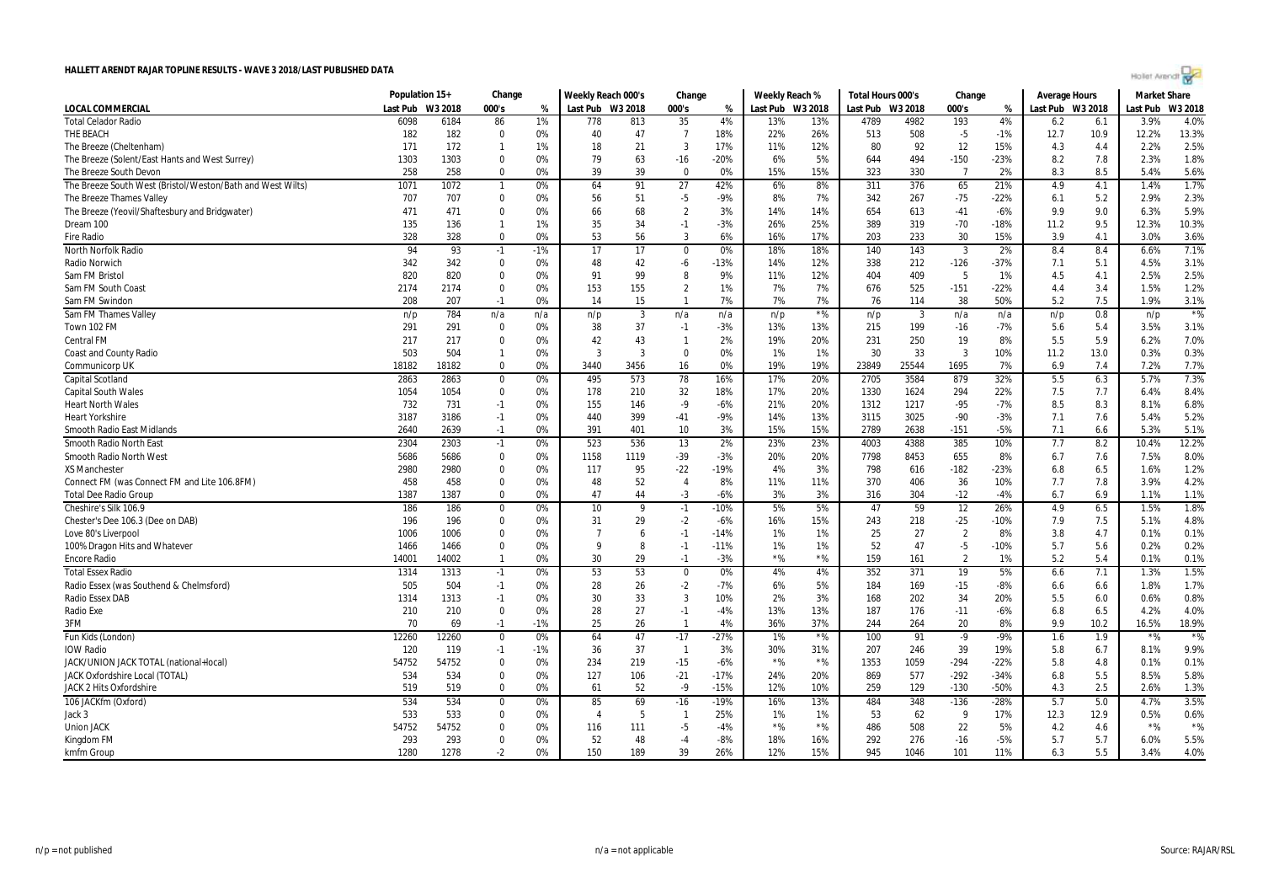| Hollet Arendt |  |
|---------------|--|
|               |  |
|               |  |

|                                                            | Population 15+   |       | Change         |       | Weekly Reach 000's |                         | Change         |        | Weekly Reach % |                  | Total Hours 000's |       | Change         |        | <b>Average Hours</b> |      | <b>Market Share</b> |         |
|------------------------------------------------------------|------------------|-------|----------------|-------|--------------------|-------------------------|----------------|--------|----------------|------------------|-------------------|-------|----------------|--------|----------------------|------|---------------------|---------|
| <b>LOCAL COMMERCIAL</b>                                    | Last Pub W3 2018 |       | 000's          | %     | Last Pub W3 2018   |                         | 000's          | %      |                | Last Pub W3 2018 | Last Pub W3 2018  |       | 000's          | %      | Last Pub W3 2018     |      | Last Pub            | W3 2018 |
| <b>Total Celador Radio</b>                                 | 6098             | 6184  | 86             | 1%    | 778                | 813                     | 35             | 4%     | 13%            | 13%              | 4789              | 4982  | 193            | 4%     | 6.2                  | 6.1  | 3.9%                | 4.0%    |
| THE BEACH                                                  | 182              | 182   | $\mathbf 0$    | 0%    | 40                 | 47                      | $\overline{7}$ | 18%    | 22%            | 26%              | 513               | 508   | $-5$           | $-1%$  | 12.7                 | 10.9 | 12.2%               | 13.3%   |
| The Breeze (Cheltenham)                                    | 171              | 172   | $\mathbf{1}$   | 1%    | 18                 | 21                      | 3              | 17%    | 11%            | 12%              | 80                | 92    | 12             | 15%    | 4.3                  | 4.4  | 2.2%                | 2.5%    |
| The Breeze (Solent/East Hants and West Surrey)             | 1303             | 1303  | $\Omega$       | 0%    | 79                 | 63                      | $-16$          | $-20%$ | 6%             | 5%               | 644               | 494   | $-150$         | $-23%$ | 8.2                  | 7.8  | 2.3%                | 1.8%    |
| The Breeze South Devon                                     | 258              | 258   | $\Omega$       | 0%    | 39                 | 39                      | $\Omega$       | 0%     | 15%            | 15%              | 323               | 330   | $\overline{7}$ | 2%     | 8.3                  | 8.5  | 5.4%                | 5.6%    |
| The Breeze South West (Bristol/Weston/Bath and West Wilts) | 1071             | 1072  | $\mathbf{1}$   | 0%    | 64                 | 91                      | 27             | 42%    | 6%             | 8%               | 311               | 376   | 65             | 21%    | 4.9                  | 4.1  | 1.4%                | 1.7%    |
| The Breeze Thames Valley                                   | 707              | 707   | $\mathbf{0}$   | 0%    | 56                 | 51                      | $-5$           | $-9%$  | 8%             | 7%               | 342               | 267   | $-75$          | $-22%$ | 6.1                  | 5.2  | 2.9%                | 2.3%    |
| The Breeze (Yeovil/Shaftesbury and Bridgwater)             | 471              | 471   | $\mathbf{0}$   | 0%    | 66                 | 68                      | $\overline{2}$ | 3%     | 14%            | 14%              | 654               | 613   | $-41$          | $-6%$  | 9.9                  | 9.0  | 6.3%                | 5.9%    |
| Dream 100                                                  | 135              | 136   | $\mathbf{1}$   | 1%    | 35                 | 34                      | $-1$           | $-3%$  | 26%            | 25%              | 389               | 319   | $-70$          | $-18%$ | 11.2                 | 9.5  | 12.3%               | 10.3%   |
| <b>Fire Radio</b>                                          | 328              | 328   | $\mathbf 0$    | 0%    | 53                 | 56                      | 3              | 6%     | 16%            | 17%              | 203               | 233   | 30             | 15%    | 3.9                  | 4.1  | 3.0%                | 3.6%    |
| North Norfolk Radio                                        | 94               | 93    | $-1$           | $-1%$ | 17                 | $\overline{17}$         | $\mathbf 0$    | 0%     | 18%            | 18%              | 140               | 143   | $\overline{3}$ | 2%     | 8.4                  | 8.4  | 6.6%                | 7.1%    |
| Radio Norwich                                              | 342              | 342   | $\mathbf 0$    | 0%    | 48                 | 42                      | $-6$           | $-13%$ | 14%            | 12%              | 338               | 212   | $-126$         | $-37%$ | 7.1                  | 5.1  | 4.5%                | 3.1%    |
| Sam FM Bristol                                             | 820              | 820   | $\Omega$       | 0%    | 91                 | 99                      | 8              | 9%     | 11%            | 12%              | 404               | 409   | 5              | 1%     | 4.5                  | 4.1  | 2.5%                | 2.5%    |
| Sam FM South Coast                                         | 2174             | 2174  | $\mathbf{0}$   | 0%    | 153                | 155                     | $\overline{2}$ | 1%     | 7%             | 7%               | 676               | 525   | $-151$         | $-22%$ | 4.4                  | 3.4  | 1.5%                | 1.2%    |
| Sam FM Swindor                                             | 208              | 207   | $-1$           | 0%    | 14                 | 15                      | $\mathbf{1}$   | 7%     | 7%             | 7%               | 76                | 114   | 38             | 50%    | 5.2                  | 7.5  | 1.9%                | 3.1%    |
| Sam FM Thames Valley                                       | n/p              | 784   | n/a            | n/a   | n/p                | $\overline{\mathbf{3}}$ | n/a            | n/a    | n/p            | ${}^{\star}\%$   | n/p               | 3     | n/a            | n/a    | n/p                  | 0.8  | n/p                 | $*$ %   |
| Town 102 FM                                                | 291              | 291   | 0              | 0%    | 38                 | 37                      | $-1$           | $-3%$  | 13%            | 13%              | 215               | 199   | $-16$          | $-7%$  | 5.6                  | 5.4  | 3.5%                | 3.1%    |
| <b>Central FM</b>                                          | 217              | 217   | $\Omega$       | 0%    | 42                 | 43                      | $\mathbf{1}$   | 2%     | 19%            | 20%              | 231               | 250   | 19             | 8%     | 5.5                  | 5.9  | 6.2%                | 7.0%    |
| <b>Coast and County Radio</b>                              | 503              | 504   | $\mathbf{1}$   | 0%    | $\mathbf{3}$       | $\overline{3}$          | $\Omega$       | 0%     | 1%             | 1%               | 30                | 33    | 3              | 10%    | 11.2                 | 13.0 | 0.3%                | 0.3%    |
| Communicorp UK                                             | 18182            | 18182 | $\Omega$       | 0%    | 3440               | 3456                    | 16             | 0%     | 19%            | 19%              | 23849             | 25544 | 1695           | 7%     | 6.9                  | 7.4  | 7.2%                | 7.7%    |
| <b>Capital Scotland</b>                                    | 2863             | 2863  | $\mathbf 0$    | 0%    | 495                | 573                     | 78             | 16%    | 17%            | 20%              | 2705              | 3584  | 879            | 32%    | 5.5                  | 6.3  | 5.7%                | 7.3%    |
| <b>Capital South Wales</b>                                 | 1054             | 1054  | $\mathbf{0}$   | 0%    | 178                | 210                     | 32             | 18%    | 17%            | 20%              | 1330              | 1624  | 294            | 22%    | 7.5                  | 7.7  | 6.4%                | 8.4%    |
| <b>Heart North Wales</b>                                   | 732              | 731   | $-1$           | 0%    | 155                | 146                     | $-9$           | $-6%$  | 21%            | 20%              | 1312              | 1217  | $-95$          | $-7%$  | 8.5                  | 8.3  | 8.1%                | 6.8%    |
| <b>Heart Yorkshire</b>                                     | 3187             | 3186  | $-1$           | 0%    | 440                | 399                     | $-41$          | $-9%$  | 14%            | 13%              | 3115              | 3025  | $-90$          | $-3%$  | 7.1                  | 7.6  | 5.4%                | 5.2%    |
| Smooth Radio East Midlands                                 | 2640             | 2639  | $-1$           | 0%    | 391                | 401                     | 10             | 3%     | 15%            | 15%              | 2789              | 2638  | $-151$         | $-5%$  | 7.1                  | 6.6  | 5.3%                | 5.1%    |
| Smooth Radio North East                                    | 2304             | 2303  | $-1$           | 0%    | 523                | 536                     | 13             | 2%     | 23%            | 23%              | 4003              | 4388  | 385            | 10%    | 7.7                  | 8.2  | 10.4%               | 12.2%   |
| <b>Smooth Radio North West</b>                             | 5686             | 5686  | $\mathbf 0$    | 0%    | 1158               | 1119                    | $-39$          | $-3%$  | 20%            | 20%              | 7798              | 8453  | 655            | 8%     | 6.7                  | 7.6  | 7.5%                | 8.0%    |
| <b>XS Manchester</b>                                       | 2980             | 2980  | $\mathbf{0}$   | 0%    | 117                | 95                      | $-22$          | $-19%$ | 4%             | 3%               | 798               | 616   | $-182$         | $-23%$ | 6.8                  | 6.5  | 1.6%                | 1.2%    |
| Connect FM (was Connect FM and Lite 106.8FM)               | 458              | 458   | $\Omega$       | 0%    | 48                 | 52                      | $\overline{4}$ | 8%     | 11%            | 11%              | 370               | 406   | 36             | 10%    | 7.7                  | 7.8  | 3.9%                | 4.2%    |
| <b>Total Dee Radio Group</b>                               | 1387             | 1387  | $\mathbf 0$    | 0%    | 47                 | 44                      | $-3$           | $-6%$  | 3%             | 3%               | 316               | 304   | $-12$          | $-4%$  | 6.7                  | 6.9  | 1.1%                | 1.1%    |
| Cheshire's Silk 106.9                                      | 186              | 186   | $\mathbf 0$    | 0%    | 10                 | q                       | $-1$           | $-10%$ | 5%             | 5%               | 47                | 59    | 12             | 26%    | 4.9                  | 6.5  | 1.5%                | 1.8%    |
| Chester's Dee 106.3 (Dee on DAB)                           | 196              | 196   | $\mathbf{0}$   | 0%    | 31                 | 29                      | $-2$           | $-6%$  | 16%            | 15%              | 243               | 218   | $-25$          | $-10%$ | 7.9                  | 7.5  | 5.1%                | 4.8%    |
| Love 80's Liverpool                                        | 1006             | 1006  | $\mathbf{0}$   | 0%    | $\overline{7}$     | 6                       | $-1$           | $-14%$ | 1%             | 1%               | 25                | 27    | $\overline{2}$ | 8%     | 3.8                  | 4.7  | 0.1%                | 0.1%    |
| 100% Dragon Hits and Whatever                              | 1466             | 1466  | $\mathbf{0}$   | 0%    | $\mathbf{Q}$       | 8                       | $-1$           | $-11%$ | 1%             | 1%               | 52                | 47    | $-5$           | $-10%$ | 5.7                  | 5.6  | 0.2%                | 0.2%    |
| <b>Encore Radio</b>                                        | 14001            | 14002 | $\mathbf{1}$   | 0%    | 30                 | 29                      | $-1$           | $-3%$  | $*$ %          | $*$ %            | 159               | 161   | $\overline{2}$ | 1%     | 5.2                  | 5.4  | 0.1%                | 0.1%    |
| <b>Total Essex Radio</b>                                   | 1314             | 1313  | $-1$           | 0%    | 53                 | 53                      | $\mathbf 0$    | 0%     | 4%             | 4%               | 352               | 371   | 19             | 5%     | 6.6                  | 7.1  | 1.3%                | 1.5%    |
| Radio Essex (was Southend & Chelmsford)                    | 505              | 504   | $-1$           | 0%    | 28                 | 26                      | $-2$           | $-7%$  | 6%             | 5%               | 184               | 169   | $-15$          | $-8%$  | 6.6                  | 6.6  | 1.8%                | 1.7%    |
| Radio Essex DAB                                            | 1314             | 1313  | $-1$           | 0%    | 30                 | 33                      | $\overline{3}$ | 10%    | 2%             | 3%               | 168               | 202   | 34             | 20%    | 5.5                  | 6.0  | 0.6%                | 0.8%    |
| Radio Exe                                                  | 210              | 210   | $\mathbf 0$    | 0%    | 28                 | 27                      | $-1$           | $-4%$  | 13%            | 13%              | 187               | 176   | $-11$          | $-6%$  | 6.8                  | 6.5  | 4.2%                | 4.0%    |
| 3FM                                                        | 70               | 69    | $-1$           | $-1%$ | 25                 | 26                      | $\mathbf{1}$   | 4%     | 36%            | 37%              | 244               | 264   | 20             | 8%     | 9.9                  | 10.2 | 16.5%               | 18.9%   |
| Fun Kids (London)                                          | 12260            | 12260 | $\mathbf 0$    | 0%    | 64                 | 47                      | $-17$          | $-27%$ | 1%             | $*$ %            | 100               | 91    | $-9$           | $-9%$  | 1.6                  | 1.9  | $*$ %               | $*$ %   |
| <b>IOW Radio</b>                                           | 120              | 119   | $-1$           | $-1%$ | 36                 | 37                      | $\overline{1}$ | 3%     | 30%            | 31%              | 207               | 246   | 39             | 19%    | 5.8                  | 6.7  | 8.1%                | 9.9%    |
| JACK/UNION JACK TOTAL (national+local)                     | 54752            | 54752 | $\mathbf{0}$   | 0%    | 234                | 219                     | $-15$          | $-6%$  | $*$ %          | $*$ %            | 1353              | 1059  | $-294$         | $-22%$ | 5.8                  | 4.8  | 0.1%                | 0.1%    |
| JACK Oxfordshire Local (TOTAL)                             | 534              | 534   | $\Omega$       | 0%    | 127                | 106                     | $-21$          | $-17%$ | 24%            | 20%              | 869               | 577   | $-292$         | $-34%$ | 6.8                  | 5.5  | 8.5%                | 5.8%    |
| <b>JACK 2 Hits Oxfordshire</b>                             | 519              | 519   | $\Omega$       | 0%    | 61                 | 52                      | $-9$           | $-15%$ | 12%            | 10%              | 259               | 129   | $-130$         | $-50%$ | 4.3                  | 2.5  | 2.6%                | 1.3%    |
| 106 JACKfm (Oxford)                                        | 534              | 534   | $\overline{0}$ | 0%    | 85                 | 69                      | $-16$          | $-19%$ | 16%            | 13%              | 484               | 348   | $-136$         | $-28%$ | 5.7                  | 5.0  | 4.7%                | 3.5%    |
| Jack 3                                                     | 533              | 533   | $\Omega$       | 0%    | 4                  | -5                      | $\mathbf{1}$   | 25%    | 1%             | 1%               | 53                | 62    | 9              | 17%    | 12.3                 | 12.9 | 0.5%                | 0.6%    |
| <b>Union JACK</b>                                          | 54752            | 54752 | $\mathbf{0}$   | 0%    | 116                | 111                     | -5             | $-4%$  | $*$ %          | $*$ %            | 486               | 508   | 22             | 5%     | 4.2                  | 4.6  | $*$ %               | $*$ %   |
| Kingdom FM                                                 | 293              | 293   | $\mathbf 0$    | 0%    | 52                 | 48                      | -4             | $-8%$  | 18%            | 16%              | 292               | 276   | $-16$          | $-5%$  | 5.7                  | 5.7  | 6.0%                | 5.5%    |
| kmfm Group                                                 | 1280             | 1278  | $-2$           | 0%    | 150                | 189                     | 39             | 26%    | 12%            | 15%              | 945               | 1046  | 101            | 11%    | 6.3                  | 5.5  | 3.4%                | 4.0%    |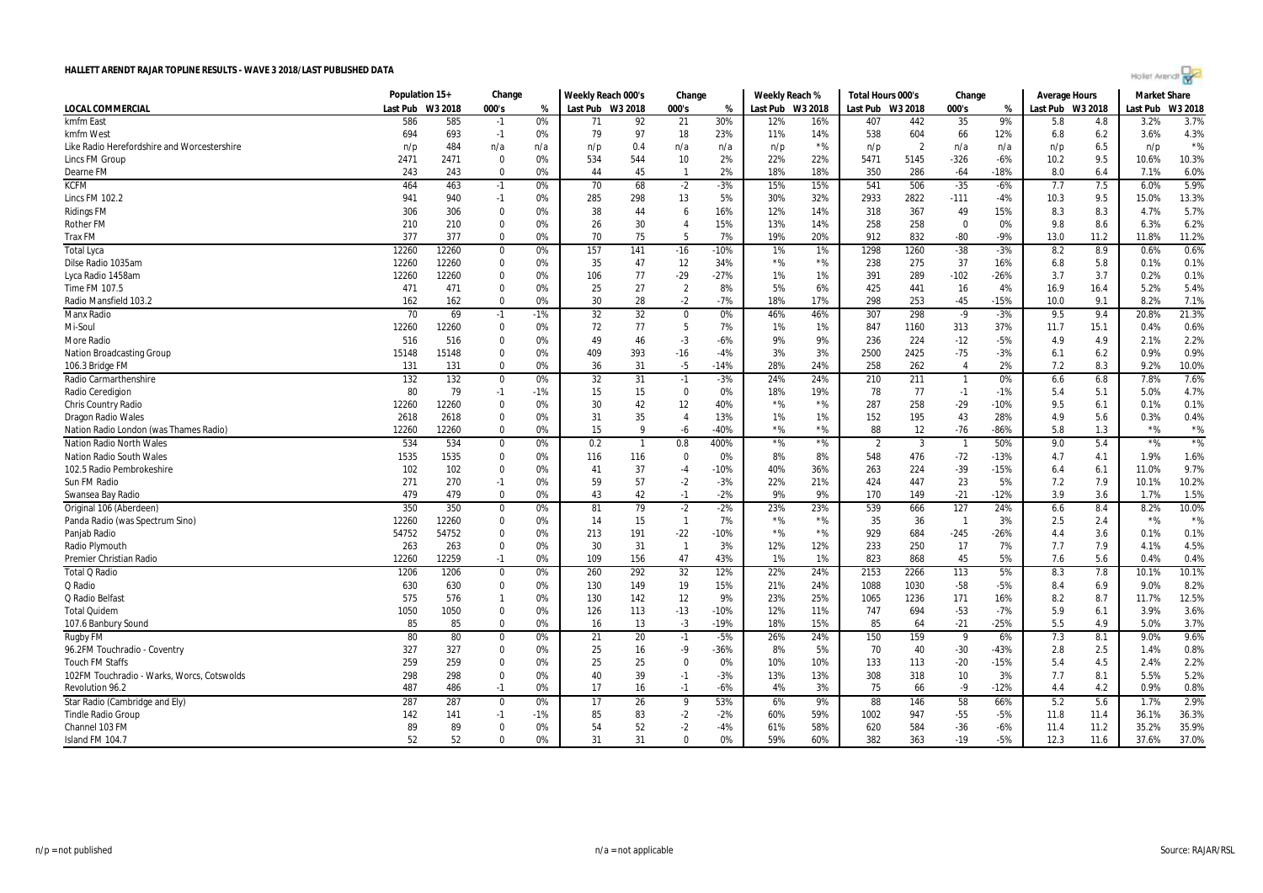|                                                  | Population 15+ |              | Change                      |          | Weekly Reach 000's |           | Change                  |                  | Weekly Reach % |                | Total Hours 000's |                | Change                   |                 | <b>Average Hours</b> |            | <b>Market Share</b> |               |
|--------------------------------------------------|----------------|--------------|-----------------------------|----------|--------------------|-----------|-------------------------|------------------|----------------|----------------|-------------------|----------------|--------------------------|-----------------|----------------------|------------|---------------------|---------------|
| LOCAL COMMERCIAL                                 | Last Pub       | W3 2018      | 000's                       | %        | Last Pub W3 2018   |           | 000's                   | %                | Last Pub       | W3 2018        | Last Pub          | W3 2018        | 000's                    | %               | Last Pub W3 2018     |            | Last Pub            | W3 2018       |
| kmfm East                                        | 586            | 585          | $-1$                        | 0%       | 71                 | 92        | 21                      | 30%              | 12%            | 16%            | 407               | 442            | 35                       | 9%              | 5.8                  | 4.8        | 3.2%                | 3.7%          |
| kmfm West                                        | 694            | 693          | $-1$                        | 0%       | 79                 | 97        | 18                      | 23%              | 11%            | 14%            | 538               | 604            | 66                       | 12%             | 6.8                  | 6.2        | 3.6%                | 4.3%          |
| Like Radio Herefordshire and Worcestershire      | n/p            | 484          | n/a                         | n/a      | n/p                | 0.4       | n/a                     | n/a              | n/p            | $*$ %          | n/p               | $\overline{2}$ | n/a                      | n/a             | n/p                  | 6.5        | n/p                 | $*$ %         |
| <b>Lincs FM Group</b>                            | 2471           | 2471         | $\mathbf 0$                 | 0%       | 534                | 544       | 10                      | 2%               | 22%            | 22%            | 5471              | 5145           | $-326$                   | $-6%$           | 10.2                 | 9.5        | 10.6%               | 10.3%         |
| Dearne FM                                        | 243            | 243          | $\mathbf 0$                 | 0%       | 44                 | 45        | $\mathbf{1}$            | 2%               | 18%            | 18%            | 350               | 286            | -64                      | $-18%$          | 8.0                  | 6.4        | 7.1%                | 6.0%          |
| <b>KCFM</b>                                      | 464            | 463          | $-1$                        | 0%       | 70                 | 68        | $-2$                    | $-3%$            | 15%            | 15%            | 541               | 506            | $-35$                    | $-6%$           | 7.7                  | 7.5        | 6.0%                | 5.9%          |
| <b>Lincs FM 102.2</b>                            | 941            | 940          | $-1$                        | 0%       | 285                | 298       | 13                      | 5%               | 30%            | 32%            | 2933              | 2822           | $-111$                   | $-4%$           | 10.3                 | 9.5        | 15.0%               | 13.3%         |
| <b>Ridings FM</b>                                | 306            | 306          | 0                           | 0%       | 38                 | 44        | 6                       | 16%              | 12%            | 14%            | 318               | 367            | 49                       | 15%             | 8.3                  | 8.3        | 4.7%                | 5.7%          |
| <b>Rother FM</b>                                 | 210            | 210          | $\Omega$                    | 0%       | 26                 | 30        | $\overline{4}$          | 15%              | 13%            | 14%            | 258               | 258            | $\Omega$                 | 0%              | 9.8                  | 8.6        | 6.3%                | 6.2%          |
| <b>Trax FM</b>                                   | 377            | 377          | $\Omega$                    | 0%       | 70                 | 75        | -5                      | 7%               | 19%            | 20%            | 912               | 832            | $-80$                    | $-9%$           | 13.0                 | 11.2       | 11.8%               | 11.2%         |
| <b>Total Lyca</b>                                | 12260          | 12260        | $\mathbf 0$                 | 0%       | 157                | 141       | $-16$                   | $-10%$           | 1%             | 1%             | 1298              | 1260           | $-38$                    | $-3%$           | 8.2                  | 8.9        | 0.6%                | 0.6%          |
| Dilse Radio 1035am                               | 12260          | 12260        | $\mathbf 0$                 | 0%       | 35                 | 47        | 12                      | 34%              | $*$ %          | $*96$          | 238               | 275            | 37                       | 16%             | 6.8                  | 5.8        | 0.1%                | 0.1%          |
| Lyca Radio 1458am                                | 12260          | 12260        | $\Omega$                    | 0%       | 106                | 77        | $-29$                   | $-27%$           | 1%             | 1%             | 391               | 289            | $-102$                   | $-26%$          | 3.7                  | 3.7        | 0.2%                | 0.1%          |
| Time FM 107.5                                    | 471            | 471          | $\mathbf 0$                 | 0%       | 25                 | 27        | $\overline{2}$          | 8%               | 5%             | 6%             | 425               | 441            | 16                       | 4%              | 16.9                 | 16.4       | 5.2%                | 5.4%          |
| Radio Mansfield 103.2                            | 162            | 162          | $\Omega$                    | 0%       | 30                 | 28        | $-2$                    | $-7%$            | 18%            | 17%            | 298               | 253            | $-45$                    | $-15%$          | 10.0                 | 9.1        | 8.2%                | 7.1%          |
| Manx Radio                                       | 70             | 69           | $-1$                        | $-1%$    | 32                 | 32        | $\overline{0}$          | 0%               | 46%            | 46%            | 307               | 298            | $-9$                     | $-3%$           | 9.5                  | 9.4        | 20.8%               | 21.3%         |
| Mi-Soul                                          | 12260          | 12260        | $\mathbf 0$                 | 0%       | 72                 | 77        | 5                       | 7%               | 1%             | 1%             | 847               | 1160           | 313                      | 37%             | 11.7                 | 15.1       | 0.4%                | 0.6%          |
| More Radio                                       | 516            | 516          | $\Omega$                    | 0%       | 49                 | 46        | -3                      | $-6%$            | 9%             | 9%             | 236               | 224            | $-12$                    | $-5%$           | 4.9                  | 4.9        | 2.1%                | 2.2%          |
| <b>Nation Broadcasting Group</b>                 | 15148          | 15148        | $\Omega$                    | 0%       | 409                | 393       | $-16$                   | $-4%$            | 3%             | 3%             | 2500              | 2425           | $-75$                    | $-3%$           | 6.1                  | 6.2        | 0.9%                | 0.9%          |
| 106.3 Bridge FM                                  | 131            | 131          | $\mathbf 0$                 | 0%       | 36                 | 31        | -5                      | $-14%$           | 28%            | 24%            | 258               | 262            | $\overline{4}$           | 2%              | 7.2                  | 8.3        | 9.2%                | 10.0%         |
| Radio Carmarthenshire                            | 132            | 132          | $\mathbf 0$                 | 0%       | 32                 | 31        | $-1$                    | $-3%$            | 24%            | 24%            | 210               | 211            |                          | 0%              | 6.6                  | 6.8        | 7.8%                | 7.6%          |
| Radio Ceredigion                                 | 80             | 79           | $-1$                        | $-1%$    | 15                 | 15        | $\mathbf 0$             | 0%               | 18%            | 19%            | 78                | 77             | $-1$                     | $-1%$           | 5.4                  | 5.1        | 5.0%                | 4.7%          |
| <b>Chris Country Radio</b>                       | 12260          | 12260        | $\mathbf 0$                 | 0%       | 30                 | 42        | 12                      | 40%              | $*$ %          | $*$ %          | 287               | 258            | $-29$                    | $-10%$          | 9.5                  | 6.1        | 0.1%                | 0.1%          |
| <b>Dragon Radio Wales</b>                        | 2618           | 2618         | $\mathbf 0$                 | 0%       | 31                 | 35        | $\overline{4}$          | 13%              | 1%             | 1%             | 152               | 195            | 43                       | 28%             | 4.9                  | 5.6        | 0.3%                | 0.4%          |
| Nation Radio London (was Thames Radio)           | 12260          | 12260        | $\Omega$                    | 0%       | 15                 | q         | $-6$                    | $-40%$           | $*$ %          | $*96$          | 88                | 12             | $-76$                    | $-86%$          | 5.8                  | 1.3        | $*$ %               | $*$ %         |
| <b>Nation Radio North Wales</b>                  | 534            | 534          | $\mathbf 0$                 | 0%       | 0.2                | -1        | 0.8                     | 400%             | $\star$ %      | ${}^{\star}\%$ | $\overline{2}$    | 3              | $\overline{\phantom{0}}$ | 50%             | 9.0                  | 5.4        | $*$ %               | $*$ %         |
| <b>Nation Radio South Wales</b>                  | 1535           | 1535         | $\mathbf 0$                 | 0%       | 116                | 116       | $\mathbf 0$             | 0%               | 8%             | 8%             | 548               | 476            | $-72$                    | $-13%$          | 4.7                  | 4.1        | 1.9%                | 1.6%          |
| 102.5 Radio Pembrokeshire                        | 102            | 102          | $\Omega$                    | 0%       | 41                 | 37        | $-4$                    | $-10%$           | 40%            | 36%            | 263               | 224            | $-39$                    | $-15%$          | 6.4                  | 6.1        | 11.0%               | 9.7%          |
| Sun FM Radio                                     | 271            | 270          | $-1$                        | 0%       | 59                 | 57        | $-2$                    | $-3%$            | 22%            | 21%            | 424               | 447            | 23                       | 5%              | 7.2                  | 7.9        | 10.1%               | 10.2%         |
| Swansea Bay Radio                                | 479            | 479          | $\Omega$                    | 0%       | 43                 | 42        | $-1$                    | $-2%$            | 9%             | 9%             | 170               | 149            | $-21$                    | $-12%$          | 3.9                  | 3.6        | 1.7%                | 1.5%          |
| Original 106 (Aberdeen)                          | 350            | 350          | $\mathbf 0$                 | 0%       | 81                 | 79        |                         |                  | 23%            | 23%            | 539               |                | 127                      | 24%             |                      | 8.4        | 8.2%                | 10.0%         |
| Panda Radio (was Spectrum Sino)                  | 12260          | 12260        | $\mathbf 0$                 | 0%       | 14                 | 15        | $-2$<br>$\overline{1}$  | $-2%$<br>7%      | $\star$ %      | $*$ %          | 35                | 666            | $\overline{1}$           | 3%              | 6.6<br>2.5           |            | $*$ %               | $*$ %         |
|                                                  |                |              | $\mathbf 0$                 |          |                    |           |                         |                  | $*$ %          | $*$ %          |                   | 36             |                          |                 | 4.4                  | 2.4<br>3.6 | 0.1%                | 0.1%          |
| Panjab Radio                                     | 54752          | 54752        | $\mathbf 0$                 | 0%       | 213<br>30          | 191       | $-22$<br>$\overline{1}$ | $-10%$           |                |                | 929               | 684<br>250     | $-245$                   | $-26%$          |                      |            |                     | 4.5%          |
| Radio Plymouth<br><b>Premier Christian Radio</b> | 263<br>12260   | 263<br>12259 | $-1$                        | 0%<br>0% | 109                | 31<br>156 | 47                      | 3%<br>43%        | 12%<br>1%      | 12%<br>1%      | 233<br>823        | 868            | 17<br>45                 | 7%<br>5%        | 7.7<br>7.6           | 7.9<br>5.6 | 4.1%<br>0.4%        | 0.4%          |
| <b>Total Q Radio</b>                             |                | 1206         | $\mathbf 0$                 |          | 260                | 292       | 32                      | 12%              | 22%            | 24%            | 2153              | 2266           | 113                      |                 | 8.3                  |            | 10.1%               | 10.1%         |
|                                                  | 1206           |              |                             | 0%       |                    |           |                         |                  |                |                |                   |                |                          | 5%              |                      | 7.8        |                     |               |
| Q Radio<br>Q Radio Belfas                        | 630<br>575     | 630<br>576   | $\mathbf 0$<br>$\mathbf{1}$ | 0%<br>0% | 130<br>130         | 149       | 19<br>12                | 15%<br>9%        | 21%<br>23%     | 24%<br>25%     | 1088<br>1065      | 1030           | $-58$<br>171             | $-5%$<br>16%    | 8.4<br>8.2           | 6.9<br>8.7 | 9.0%<br>11.7%       | 8.2%<br>12.5% |
|                                                  |                |              |                             |          |                    | 142       |                         |                  |                |                |                   | 1236           |                          |                 |                      |            |                     |               |
| <b>Total Quidem</b>                              | 1050<br>85     | 1050<br>85   | $\mathbf 0$<br>$\Omega$     | 0%<br>0% | 126<br>16          | 113       | $-13$<br>$-3$           | $-10%$<br>$-19%$ | 12%<br>18%     | 11%<br>15%     | 747<br>85         | 694<br>64      | $-53$<br>$-21$           | $-7%$<br>$-25%$ | 5.9<br>5.5           | 6.1<br>4.9 | 3.9%<br>5.0%        | 3.6%<br>3.7%  |
| 107.6 Banbury Sound                              |                |              |                             |          |                    | 13        |                         |                  |                |                |                   |                |                          |                 |                      |            |                     |               |
| <b>Rugby FM</b>                                  | 80             | 80           | $\mathbf 0$                 | 0%       | 21                 | 20        | $-1$                    | $-5%$            | 26%            | 24%            | 150               | 159            | 9                        | 6%              | 7.3                  | 8.1        | 9.0%                | 9.6%          |
| 96.2FM Touchradio - Coventry                     | 327            | 327          | $\mathbf 0$                 | 0%       | 25                 | 16        | -9                      | $-36%$           | 8%             | 5%             | 70                | 40             | $-30$                    | $-43%$          | 2.8                  | 2.5        | 1.4%                | 0.8%          |
| <b>Touch FM Staffs</b>                           | 259            | 259          | $\Omega$                    | 0%       | 25                 | 25        | $\Omega$                | 0%               | 10%            | 10%            | 133               | 113            | $-20$                    | $-15%$          | 5.4                  | 4.5        | 2.4%                | 2.2%          |
| 102FM Touchradio - Warks, Worcs, Cotswolds       | 298            | 298          | $\Omega$                    | 0%       | 40                 | 39        | $-1$                    | $-3%$            | 13%            | 13%            | 308               | 318            | 10                       | 3%              | 7.7                  | 8.1        | 5.5%                | 5.2%          |
| <b>Revolution 96.2</b>                           | 487            | 486          | $-1$                        | 0%       | 17                 | 16        | $-1$                    | $-6%$            | 4%             | 3%             | 75                | 66             | $-9$                     | $-12%$          | 4.4                  | 4.2        | 0.9%                | 0.8%          |
| Star Radio (Cambridge and Ely)                   | 287            | 287          | $\Omega$                    | 0%       | 17                 | 26        | q                       | 53%              | 6%             | 9%             | 88                | 146            | 58                       | 66%             | 5.2                  | 5.6        | 1.7%                | 2.9%          |
| <b>Tindle Radio Group</b>                        | 142            | 141          | $-1$                        | $-1%$    | 85                 | 83        | $-2$                    | $-2%$            | 60%            | 59%            | 1002              | 947            | $-55$                    | $-5%$           | 11.8                 | 11.4       | 36.1%               | 36.3%         |
| Channel 103 FM                                   | 89             | 89           | $\Omega$                    | 0%       | 54                 | 52        | $-2$                    | $-4%$            | 61%            | 58%            | 620               | 584            | -36                      | $-6%$           | 11.4                 | 11.2       | 35.2%               | 35.9%         |
| Island FM 104.7                                  | 52             | 52           | $\Omega$                    | 0%       | 31                 | 31        | $\Omega$                | 0%               | 59%            | 60%            | 382               | 363            | $-19$                    | $-5%$           | 12.3                 | 11.6       | 37.6%               | 37.0%         |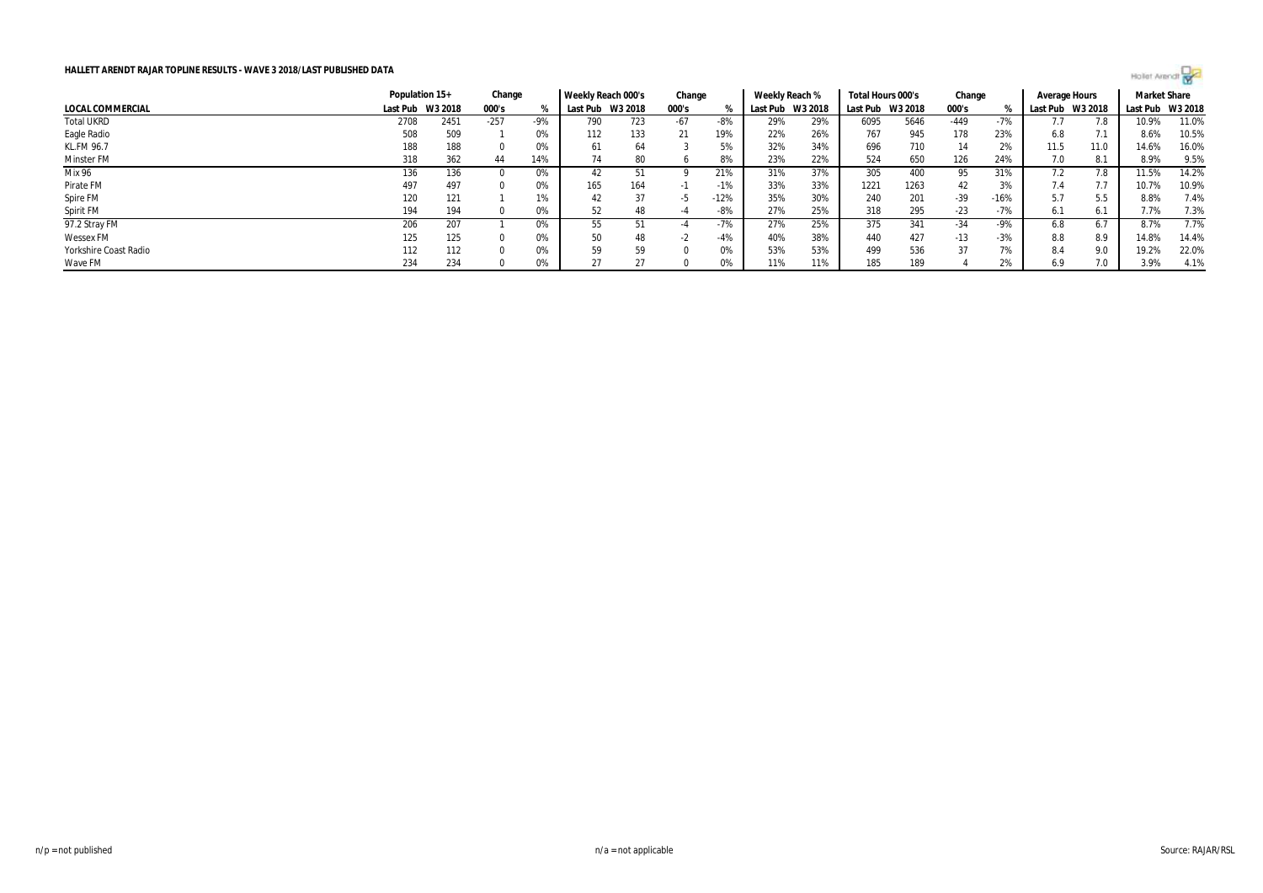

|                       | Population 15+ |                  | Change |       | Weekly Reach 000's |         | Change |        | Weekly Reach % |         | Total Hours 000's |         | Change |        | Average Hours |         | <b>Market Share</b> |       |
|-----------------------|----------------|------------------|--------|-------|--------------------|---------|--------|--------|----------------|---------|-------------------|---------|--------|--------|---------------|---------|---------------------|-------|
| LOCAL COMMERCIAL      |                | Last Pub W3 2018 | 000's  |       | Last Pub           | W3 2018 | 000's  |        | Last Pub       | W3 2018 | Last Pub          | W3 2018 | 000's  |        | Last Pub      | W3 2018 | Last Pub W3 2018    |       |
| <b>Total UKRD</b>     | 2708           | 2451             | $-257$ | $-9%$ | 790                | 723     | -67    | -8%    | 29%            | 29%     | 6095              | 5646    | $-449$ | $-7%$  |               |         | 10.9%               | 11.0% |
| Eagle Radio           | 508            | 509              |        | 0%    | 112                | 133     | 21     | 19%    | 22%            | 26%     | 767               | 945     | 178    | 23%    | 6.8           | 7.1     | 8.6%                | 10.5% |
| KL.FM 96.7            | 188            | 188              |        | 0%    | 61                 | 64      |        | 5%     | 32%            | 34%     | 696               | 710     | 14     | 2%     | 11.5          | 11.0    | 14.6%               | 16.0% |
| Minster FM            | 318            | 362              | 44     | 14%   | 74                 | 80      |        | 8%     | 23%            | 22%     | 524               | 650     | 126    | 24%    | 7.0           | 8.1     | 8.9%                | 9.5%  |
| Mix 96                | 136            | 136              |        | 0%    | 42                 |         |        | 21%    | 31%            | 37%     | 305               | 400     | 95     | 31%    | 7.2           |         | 11.5%               | 14.2% |
| Pirate FM             | 497            | 497              |        | 0%    | 165                | 164     | - 11   | $-1%$  | 33%            | 33%     | 1221              | 1263    | 42     | 3%     | 7.4           |         | 10.7%               | 10.9% |
| Spire FM              | 120            | 121              |        | 1%    | 42                 | 37      | -2     | $-12%$ | 35%            | 30%     | 240               | 201     | $-39$  | $-16%$ | 5.7           | 5.5     | 8.8%                | 7.4%  |
| Spirit FM             | 194            | 194              |        | 0%    | 52                 | 48      | -4     | $-8%$  | 27%            | 25%     | 318               | 295     | $-23$  | -7%    | 6.1           | 6.7     | 7.7%                | 7.3%  |
| 97.2 Stray FM         | 206            | 207              |        | 0%    | 55                 |         |        | $-7%$  | 27%            | 25%     | 375               | 341     | $-34$  | $-9%$  | 6.8           | 6.      | 8.7%                | 7.7%  |
| <b>Wessex FM</b>      | 125            | 125              |        | 0%    | 50                 | 48      | - 1    | $-4%$  | 40%            | 38%     | 440               | 427     | $-13$  | $-3%$  | 8.8           | 8.9     | 14.8%               | 14.4% |
| Yorkshire Coast Radio | 112            | 112              |        | 0%    | 59                 | 59      |        | 0%     | 53%            | 53%     | 499               | 536     | 37     | 7%     | 8.4           | 9.0     | 19.2%               | 22.0% |
| Wave FM               | 234            | 234              |        | 0%    |                    | 27      |        | 0%     | 11%            | 11%     | 185               | 189     |        | 2%     | 6.9           | 7.0     | 3.9%                | 4.1%  |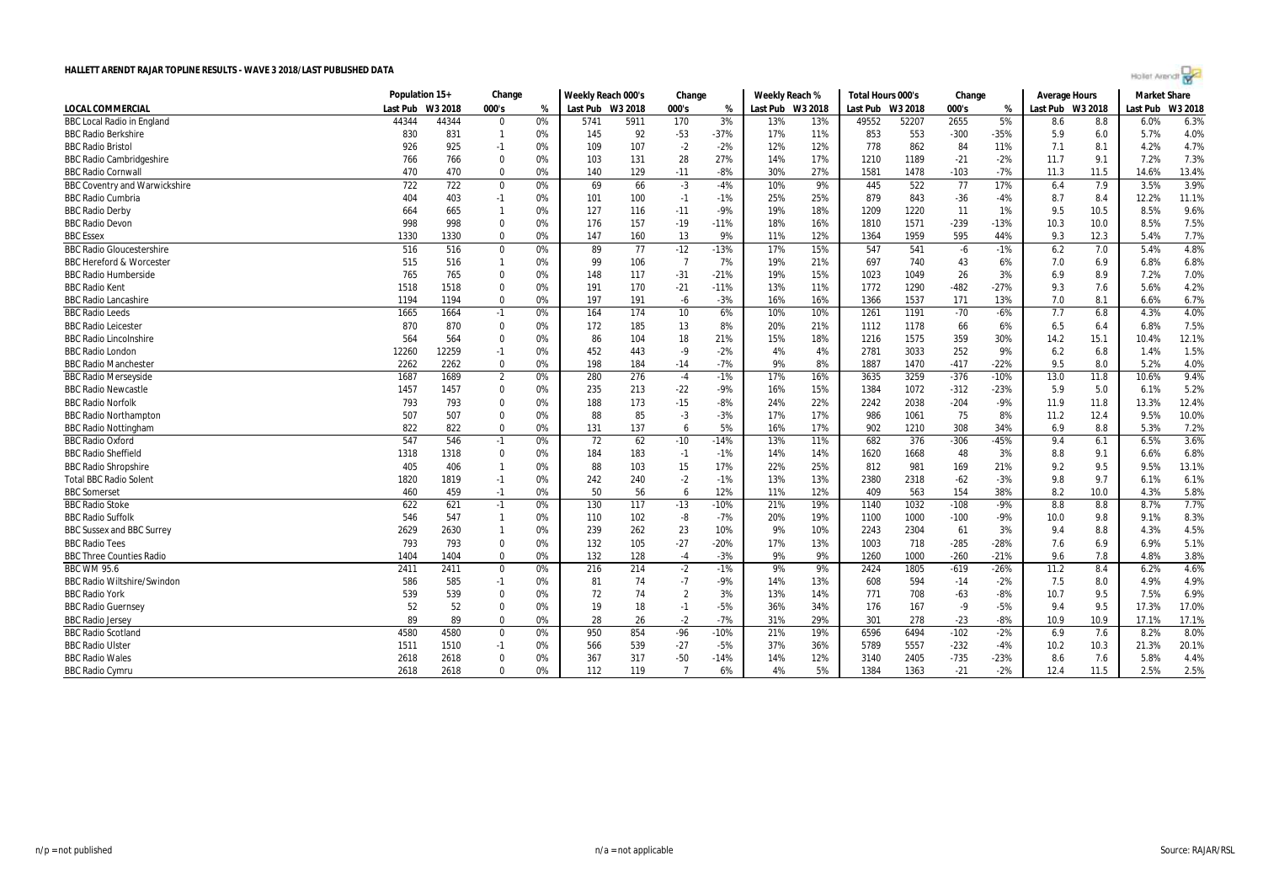|  | Hollet Arenar |  |  |
|--|---------------|--|--|
|  |               |  |  |

|                                      | Population 15+ |         | Change         |    | Weekly Reach 000's |      | Change         |        | Weekly Reach %   |     | Total Hours 000's |       | Change |        | <b>Average Hours</b> |      | <b>Market Share</b> |         |
|--------------------------------------|----------------|---------|----------------|----|--------------------|------|----------------|--------|------------------|-----|-------------------|-------|--------|--------|----------------------|------|---------------------|---------|
| <b>LOCAL COMMERCIAL</b>              | Last Pub       | W3 2018 | 000's          | %  | Last Pub W3 2018   |      | 000's          | %      | Last Pub W3 2018 |     | Last Pub W3 2018  |       | 000's  | %      | Last Pub W3 2018     |      | Last Pub            | W3 2018 |
| <b>BBC Local Radio in England</b>    | 44344          | 44344   | $\Omega$       | 0% | 5741               | 5911 | 170            | 3%     | 13%              | 13% | 49552             | 52207 | 2655   | 5%     | 8.6                  | 8.8  | 6.0%                | 6.3%    |
| <b>BBC Radio Berkshire</b>           | 830            | 831     | $\mathbf{1}$   | 0% | 145                | 92   | $-53$          | $-37%$ | 17%              | 11% | 853               | 553   | $-300$ | $-35%$ | 5.9                  | 6.0  | 5.7%                | 4.0%    |
| <b>BBC Radio Bristol</b>             | 926            | 925     | $-1$           | 0% | 109                | 107  | $-2$           | $-2%$  | 12%              | 12% | 778               | 862   | 84     | 11%    | 7.1                  | 8.1  | 4.2%                | 4.7%    |
| <b>BBC Radio Cambridgeshire</b>      | 766            | 766     | $\mathbf 0$    | 0% | 103                | 131  | 28             | 27%    | 14%              | 17% | 1210              | 1189  | $-21$  | $-2%$  | 11.7                 | 9.1  | 7.2%                | 7.3%    |
| <b>BBC Radio Cornwal</b>             | 470            | 470     | $\Omega$       | 0% | 140                | 129  | $-11$          | $-8%$  | 30%              | 27% | 1581              | 1478  | $-103$ | $-7%$  | 11.3                 | 11.5 | 14.6%               | 13.4%   |
| <b>BBC Coventry and Warwickshire</b> | 722            | 722     | $\mathbf 0$    | 0% | 69                 | 66   | $-3$           | $-4%$  | 10%              | 9%  | 445               | 522   | 77     | 17%    | 6.4                  | 7.9  | 3.5%                | 3.9%    |
| <b>BBC Radio Cumbria</b>             | 404            | 403     | $-1$           | 0% | 101                | 100  | $-1$           | $-1%$  | 25%              | 25% | 879               | 843   | $-36$  | $-4%$  | 8.7                  | 8.4  | 12.2%               | 11.1%   |
| <b>BBC Radio Derby</b>               | 664            | 665     | $\mathbf{1}$   | 0% | 127                | 116  | $-11$          | $-9%$  | 19%              | 18% | 1209              | 1220  | 11     | 1%     | 9.5                  | 10.5 | 8.5%                | 9.6%    |
| <b>BBC Radio Devon</b>               | 998            | 998     | $\Omega$       | 0% | 176                | 157  | $-19$          | $-11%$ | 18%              | 16% | 1810              | 1571  | $-239$ | $-13%$ | 10.3                 | 10.0 | 8.5%                | 7.5%    |
| <b>BBC</b> Essex                     | 1330           | 1330    | $\Omega$       | 0% | 147                | 160  | 13             | 9%     | 11%              | 12% | 1364              | 1959  | 595    | 44%    | 9.3                  | 12.3 | 5.4%                | 7.7%    |
| <b>BBC Radio Gloucestershire</b>     | 516            | 516     | $\mathbf 0$    | 0% | 89                 | 77   | $-12$          | $-13%$ | 17%              | 15% | 547               | 541   | $-6$   | $-1%$  | 6.2                  | 7.0  | 5.4%                | 4.8%    |
| <b>BBC Hereford &amp; Worcester</b>  | 515            | 516     | $\mathbf{1}$   | 0% | 99                 | 106  | $\overline{7}$ | 7%     | 19%              | 21% | 697               | 740   | 43     | 6%     | 7.0                  | 6.9  | 6.8%                | 6.8%    |
| <b>BBC Radio Humberside</b>          | 765            | 765     | $\Omega$       | 0% | 148                | 117  | $-31$          | $-21%$ | 19%              | 15% | 1023              | 1049  | 26     | 3%     | 6.9                  | 8.9  | 7.2%                | 7.0%    |
| <b>BBC Radio Kent</b>                | 1518           | 1518    | $\Omega$       | 0% | 191                | 170  | $-21$          | $-11%$ | 13%              | 11% | 1772              | 1290  | $-482$ | $-27%$ | 9.3                  | 7.6  | 5.6%                | 4.2%    |
| <b>BBC Radio Lancashire</b>          | 1194           | 1194    | $\Omega$       | 0% | 197                | 191  | $-6$           | $-3%$  | 16%              | 16% | 1366              | 1537  | 171    | 13%    | 7.0                  | 8.1  | 6.6%                | 6.7%    |
| <b>BBC Radio Leeds</b>               | 1665           | 1664    | $-1$           | 0% | 164                | 174  | 10             | 6%     | 10%              | 10% | 1261              | 1191  | $-70$  | $-6%$  | 7.7                  | 6.8  | 4.3%                | 4.0%    |
| <b>BBC Radio Leicester</b>           | 870            | 870     | $\mathbf 0$    | 0% | 172                | 185  | 13             | 8%     | 20%              | 21% | 1112              | 1178  | 66     | 6%     | 6.5                  | 6.4  | 6.8%                | 7.5%    |
| <b>BBC Radio Lincolnshire</b>        | 564            | 564     | $\Omega$       | 0% | 86                 | 104  | 18             | 21%    | 15%              | 18% | 1216              | 1575  | 359    | 30%    | 14.2                 | 15.1 | 10.4%               | 12.1%   |
| <b>BBC Radio London</b>              | 12260          | 12259   | $-1$           | 0% | 452                | 443  | $-9$           | $-2%$  | 4%               | 4%  | 2781              | 3033  | 252    | 9%     | 6.2                  | 6.8  | 1.4%                | 1.5%    |
| <b>BBC Radio Manchester</b>          | 2262           | 2262    | $\Omega$       | 0% | 198                | 184  | $-14$          | $-7%$  | 9%               | 8%  | 1887              | 1470  | $-417$ | $-22%$ | 9.5                  | 8.0  | 5.2%                | 4.0%    |
| <b>BBC Radio Merseyside</b>          | 1687           | 1689    | $\overline{2}$ | 0% | 280                | 276  | $-4$           | $-1%$  | 17%              | 16% | 3635              | 3259  | $-376$ | $-10%$ | 13.0                 | 11.8 | 10.6%               | 9.4%    |
| <b>BBC Radio Newcastle</b>           | 1457           | 1457    | $\mathbf 0$    | 0% | 235                | 213  | $-22$          | $-9%$  | 16%              | 15% | 1384              | 1072  | $-312$ | $-23%$ | 5.9                  | 5.0  | 6.1%                | 5.2%    |
| <b>BBC Radio Norfolk</b>             | 793            | 793     | $\mathbf 0$    | 0% | 188                | 173  | $-15$          | $-8%$  | 24%              | 22% | 2242              | 2038  | $-204$ | $-9%$  | 11.9                 | 11.8 | 13.3%               | 12.4%   |
| <b>BBC Radio Northampton</b>         | 507            | 507     | $\Omega$       | 0% | 88                 | 85   | $-3$           | $-3%$  | 17%              | 17% | 986               | 1061  | 75     | 8%     | 11.2                 | 12.4 | 9.5%                | 10.0%   |
| <b>BBC Radio Nottingham</b>          | 822            | 822     | $\Omega$       | 0% | 131                | 137  | 6              | 5%     | 16%              | 17% | 902               | 1210  | 308    | 34%    | 6.9                  | 8.8  | 5.3%                | 7.2%    |
| <b>BBC Radio Oxford</b>              | 547            | 546     | $-1$           | 0% | 72                 | 62   | $-10$          | $-14%$ | 13%              | 11% | 682               | 376   | $-306$ | $-45%$ | 9.4                  | 6.1  | 6.5%                | 3.6%    |
| <b>BBC Radio Sheffield</b>           | 1318           | 1318    | $\Omega$       | 0% | 184                | 183  | $-1$           | $-1%$  | 14%              | 14% | 1620              | 1668  | 48     | 3%     | 8.8                  | 9.1  | 6.6%                | 6.8%    |
| <b>BBC Radio Shropshire</b>          | 405            | 406     | $\mathbf{1}$   | 0% | 88                 | 103  | 15             | 17%    | 22%              | 25% | 812               | 981   | 169    | 21%    | 9.2                  | 9.5  | 9.5%                | 13.1%   |
| <b>Total BBC Radio Solent</b>        | 1820           | 1819    | $-1$           | 0% | 242                | 240  | $-2$           | $-1%$  | 13%              | 13% | 2380              | 2318  | $-62$  | $-3%$  | 9.8                  | 9.7  | 6.1%                | 6.1%    |
| <b>BBC</b> Somerset                  | 460            | 459     | $-1$           | 0% | 50                 | 56   | 6              | 12%    | 11%              | 12% | 409               | 563   | 154    | 38%    | 8.2                  | 10.0 | 4.3%                | 5.8%    |
| <b>BBC Radio Stoke</b>               | 622            | 621     | $-1$           | 0% | 130                | 117  | $-13$          | $-10%$ | 21%              | 19% | 1140              | 1032  | $-108$ | $-9%$  | 8.8                  | 8.8  | 8.7%                | 7.7%    |
| <b>BBC Radio Suffolk</b>             | 546            | 547     | $\mathbf{1}$   | 0% | 110                | 102  | -8             | $-7%$  | 20%              | 19% | 1100              | 1000  | $-100$ | $-9%$  | 10.0                 | 9.8  | 9.1%                | 8.3%    |
| <b>BBC Sussex and BBC Surrey</b>     | 2629           | 2630    | $\mathbf{1}$   | 0% | 239                | 262  | 23             | 10%    | 9%               | 10% | 2243              | 2304  | 61     | 3%     | 9.4                  | 8.8  | 4.3%                | 4.5%    |
| <b>BBC Radio Tees</b>                | 793            | 793     | $\Omega$       | 0% | 132                | 105  | $-27$          | $-20%$ | 17%              | 13% | 1003              | 718   | $-285$ | $-28%$ | 7.6                  | 6.9  | 6.9%                | 5.1%    |
| <b>BBC Three Counties Radio</b>      | 1404           | 1404    | $\mathbf 0$    | 0% | 132                | 128  | $-4$           | $-3%$  | 9%               | 9%  | 1260              | 1000  | $-260$ | $-21%$ | 9.6                  | 7.8  | 4.8%                | 3.8%    |
| <b>BBC WM 95.6</b>                   | 2411           | 2411    | $\Omega$       | 0% | 216                | 214  | $-2$           | $-1%$  | 9%               | 9%  | 2424              | 1805  | $-619$ | $-26%$ | 11.2                 | 8.4  | 6.2%                | 4.6%    |
| <b>BBC Radio Wiltshire/Swindon</b>   | 586            | 585     | $-1$           | 0% | 81                 | 74   | $-7$           | -9%    | 14%              | 13% | 608               | 594   | $-14$  | $-2%$  | 7.5                  | 8.0  | 4.9%                | 4.9%    |
| <b>BBC Radio York</b>                | 539            | 539     | $\mathbf 0$    | 0% | 72                 | 74   | $\overline{2}$ | 3%     | 13%              | 14% | 771               | 708   | $-63$  | $-8%$  | 10.7                 | 9.5  | 7.5%                | 6.9%    |
| <b>BBC Radio Guernsey</b>            | 52             | 52      | $\Omega$       | 0% | 19                 | 18   | $-1$           | $-5%$  | 36%              | 34% | 176               | 167   | $-9$   | $-5%$  | 9.4                  | 9.5  | 17.3%               | 17.0%   |
| <b>BBC Radio Jersey</b>              | 89             | 89      | $\mathbf 0$    | 0% | 28                 | 26   | $-2$           | $-7%$  | 31%              | 29% | 301               | 278   | $-23$  | $-8%$  | 10.9                 | 10.9 | 17.1%               | 17.1%   |
| <b>BBC Radio Scotland</b>            | 4580           | 4580    | $\Omega$       | 0% | 950                | 854  | $-96$          | $-10%$ | 21%              | 19% | 6596              | 6494  | $-102$ | $-2%$  | 6.9                  | 7.6  | 8.2%                | 8.0%    |
| <b>BBC Radio Ulster</b>              | 1511           | 1510    | $-1$           | 0% | 566                | 539  | $-27$          | $-5%$  | 37%              | 36% | 5789              | 5557  | $-232$ | $-4%$  | 10.2                 | 10.3 | 21.3%               | 20.1%   |
| <b>BBC Radio Wales</b>               | 2618           | 2618    | $\mathbf 0$    | 0% | 367                | 317  | $-50$          | $-14%$ | 14%              | 12% | 3140              | 2405  | $-735$ | $-23%$ | 8.6                  | 7.6  | 5.8%                | 4.4%    |
| <b>BBC Radio Cymru</b>               | 2618           | 2618    | $\Omega$       | 0% | 112                | 119  | $\overline{7}$ | 6%     | 4%               | 5%  | 1384              | 1363  | $-21$  | $-2%$  | 12.4                 | 11.5 | 2.5%                | 2.5%    |